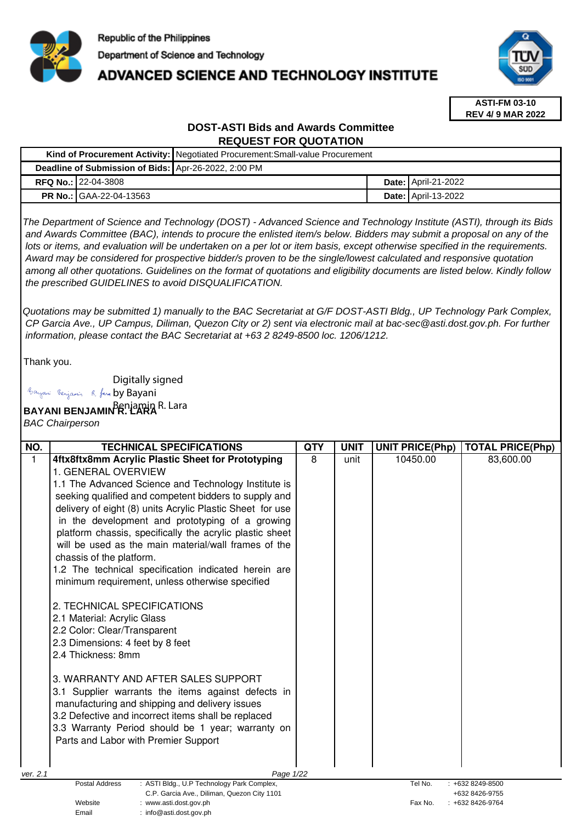

# **ADVANCED SCIENCE AND TECHNOLOGY INSTITUTE**



**ASTI-FM 03-10 REV 4/ 9 MAR 2022**

## **DOST-ASTI Bids and Awards Committee REQUEST FOR QUOTATION**

| Kind of Procurement Activity: Negotiated Procurement: Small-value Procurement |                                |  |  |                            |
|-------------------------------------------------------------------------------|--------------------------------|--|--|----------------------------|
| Deadline of Submission of Bids: Apr-26-2022, 2:00 PM                          |                                |  |  |                            |
|                                                                               | <b>RFQ No.: 22-04-3808</b>     |  |  | <b>Date: April-21-2022</b> |
|                                                                               | <b>PR No.: GAA-22-04-13563</b> |  |  | <b>Date: April-13-2022</b> |

The Department of Science and Technology (DOST) - Advanced Science and Technology Institute (ASTI), through its Bids and Awards Committee (BAC), intends to procure the enlisted item/s below. Bidders may submit a proposal on any of the lots or items, and evaluation will be undertaken on a per lot or item basis, except otherwise specified in the requirements. Award may be considered for prospective bidder/s proven to be the single/lowest calculated and responsive quotation among all other quotations. Guidelines on the format of quotations and eligibility documents are listed below. Kindly follow the prescribed GUIDELINES to avoid DISQUALIFICATION.

Quotations may be submitted 1) manually to the BAC Secretariat at G/F DOST-ASTI Bldg., UP Technology Park Complex, CP Garcia Ave., UP Campus, Diliman, Quezon City or 2) sent via electronic mail at bac-sec@asti.dost.gov.ph. For further information, please contact the BAC Secretariat at +63 2 8249-8500 loc. 1206/1212.

Thank you.

Digitally signed

Email : info@asti.dost.gov.ph

Bayani Benjamin R. fara by Bayani

**BAYANI BENJAMIN<sup>B</sup>R. LARA R. Lara** 

BAC Chairperson

| NO.          | <b>TECHNICAL SPECIFICATIONS</b>                                                  | <b>QTY</b> | <b>UNIT</b> | <b>UNIT PRICE(Php)</b> | <b>TOTAL PRICE(Php)</b>          |
|--------------|----------------------------------------------------------------------------------|------------|-------------|------------------------|----------------------------------|
| $\mathbf{1}$ | 4ftx8ftx8mm Acrylic Plastic Sheet for Prototyping                                | 8          | unit        | 10450.00               | 83,600.00                        |
|              | 1. GENERAL OVERVIEW                                                              |            |             |                        |                                  |
|              | 1.1 The Advanced Science and Technology Institute is                             |            |             |                        |                                  |
|              | seeking qualified and competent bidders to supply and                            |            |             |                        |                                  |
|              | delivery of eight (8) units Acrylic Plastic Sheet for use                        |            |             |                        |                                  |
|              | in the development and prototyping of a growing                                  |            |             |                        |                                  |
|              | platform chassis, specifically the acrylic plastic sheet                         |            |             |                        |                                  |
|              | will be used as the main material/wall frames of the                             |            |             |                        |                                  |
|              | chassis of the platform.                                                         |            |             |                        |                                  |
|              | 1.2 The technical specification indicated herein are                             |            |             |                        |                                  |
|              | minimum requirement, unless otherwise specified                                  |            |             |                        |                                  |
|              | 2. TECHNICAL SPECIFICATIONS                                                      |            |             |                        |                                  |
|              | 2.1 Material: Acrylic Glass                                                      |            |             |                        |                                  |
|              | 2.2 Color: Clear/Transparent                                                     |            |             |                        |                                  |
|              | 2.3 Dimensions: 4 feet by 8 feet                                                 |            |             |                        |                                  |
|              | 2.4 Thickness: 8mm                                                               |            |             |                        |                                  |
|              | 3. WARRANTY AND AFTER SALES SUPPORT                                              |            |             |                        |                                  |
|              | 3.1 Supplier warrants the items against defects in                               |            |             |                        |                                  |
|              | manufacturing and shipping and delivery issues                                   |            |             |                        |                                  |
|              | 3.2 Defective and incorrect items shall be replaced                              |            |             |                        |                                  |
|              | 3.3 Warranty Period should be 1 year; warranty on                                |            |             |                        |                                  |
|              | Parts and Labor with Premier Support                                             |            |             |                        |                                  |
|              |                                                                                  |            |             |                        |                                  |
| ver. 2.1     | Page 1/22                                                                        |            |             |                        |                                  |
|              | <b>Postal Address</b><br>: ASTI Bldg., U.P Technology Park Complex,              |            |             | Tel No.                | $: +6328249 - 8500$              |
|              | C.P. Garcia Ave., Diliman, Quezon City 1101<br>Website<br>: www.asti.dost.gov.ph |            |             | Fax No.                | +632 8426-9755<br>+632 8426-9764 |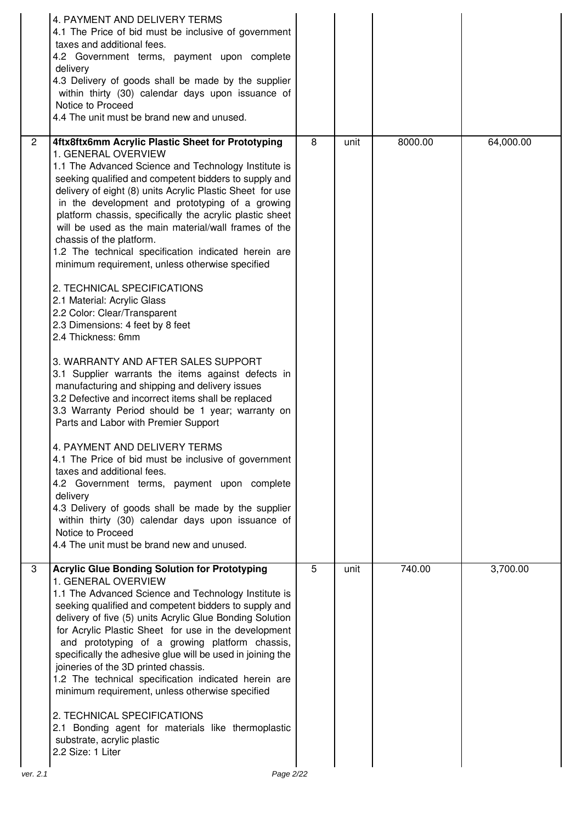|                | 4. PAYMENT AND DELIVERY TERMS<br>4.1 The Price of bid must be inclusive of government<br>taxes and additional fees.<br>4.2 Government terms, payment upon complete<br>delivery<br>4.3 Delivery of goods shall be made by the supplier<br>within thirty (30) calendar days upon issuance of<br>Notice to Proceed<br>4.4 The unit must be brand new and unused.                                                                                                                                                                                                                                                                                                                                                                                                                                                                                                                                                                                                                                                                                                                                                                                                                                                                                                                                                                                                                                    |   |      |         |           |
|----------------|--------------------------------------------------------------------------------------------------------------------------------------------------------------------------------------------------------------------------------------------------------------------------------------------------------------------------------------------------------------------------------------------------------------------------------------------------------------------------------------------------------------------------------------------------------------------------------------------------------------------------------------------------------------------------------------------------------------------------------------------------------------------------------------------------------------------------------------------------------------------------------------------------------------------------------------------------------------------------------------------------------------------------------------------------------------------------------------------------------------------------------------------------------------------------------------------------------------------------------------------------------------------------------------------------------------------------------------------------------------------------------------------------|---|------|---------|-----------|
| $\overline{2}$ | 4ftx8ftx6mm Acrylic Plastic Sheet for Prototyping<br>1. GENERAL OVERVIEW<br>1.1 The Advanced Science and Technology Institute is<br>seeking qualified and competent bidders to supply and<br>delivery of eight (8) units Acrylic Plastic Sheet for use<br>in the development and prototyping of a growing<br>platform chassis, specifically the acrylic plastic sheet<br>will be used as the main material/wall frames of the<br>chassis of the platform.<br>1.2 The technical specification indicated herein are<br>minimum requirement, unless otherwise specified<br>2. TECHNICAL SPECIFICATIONS<br>2.1 Material: Acrylic Glass<br>2.2 Color: Clear/Transparent<br>2.3 Dimensions: 4 feet by 8 feet<br>2.4 Thickness: 6mm<br>3. WARRANTY AND AFTER SALES SUPPORT<br>3.1 Supplier warrants the items against defects in<br>manufacturing and shipping and delivery issues<br>3.2 Defective and incorrect items shall be replaced<br>3.3 Warranty Period should be 1 year; warranty on<br>Parts and Labor with Premier Support<br>4. PAYMENT AND DELIVERY TERMS<br>4.1 The Price of bid must be inclusive of government<br>taxes and additional fees.<br>4.2 Government terms, payment upon complete<br>delivery<br>4.3 Delivery of goods shall be made by the supplier<br>within thirty (30) calendar days upon issuance of<br>Notice to Proceed<br>4.4 The unit must be brand new and unused. | 8 | unit | 8000.00 | 64,000.00 |
| 3<br>ver. 2.1  | <b>Acrylic Glue Bonding Solution for Prototyping</b><br>1. GENERAL OVERVIEW<br>1.1 The Advanced Science and Technology Institute is<br>seeking qualified and competent bidders to supply and<br>delivery of five (5) units Acrylic Glue Bonding Solution<br>for Acrylic Plastic Sheet for use in the development<br>and prototyping of a growing platform chassis,<br>specifically the adhesive glue will be used in joining the<br>joineries of the 3D printed chassis.<br>1.2 The technical specification indicated herein are<br>minimum requirement, unless otherwise specified<br>2. TECHNICAL SPECIFICATIONS<br>2.1 Bonding agent for materials like thermoplastic<br>substrate, acrylic plastic<br>2.2 Size: 1 Liter<br>Page 2/22                                                                                                                                                                                                                                                                                                                                                                                                                                                                                                                                                                                                                                                         | 5 | unit | 740.00  | 3,700.00  |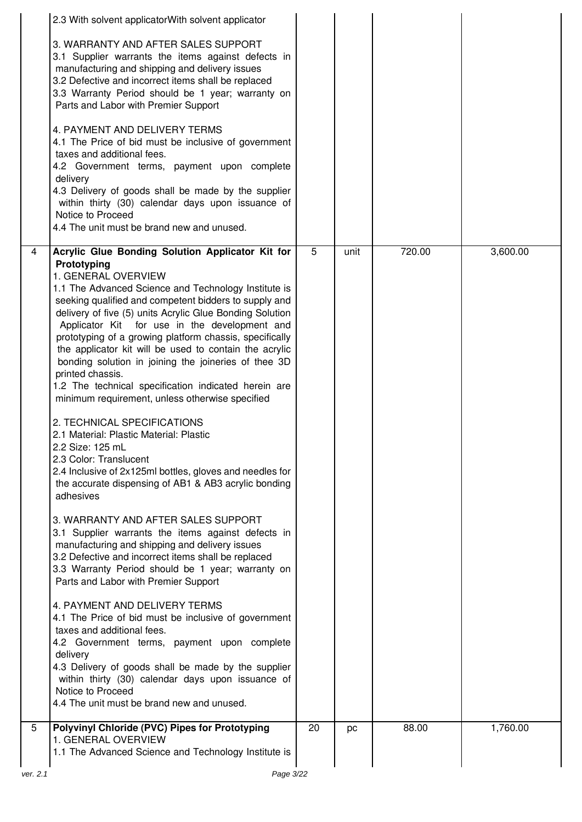|                | 2.3 With solvent applicatorWith solvent applicator                                                                                                                                                                                                                                                                                                                                                                                                                                                                                                                                                                                                                                                                                                                                                                                                                                                                                                                                                                                                                                                                                                                                                                                                                                                                                                                                                                                                                                                                                                            |    |      |        |          |
|----------------|---------------------------------------------------------------------------------------------------------------------------------------------------------------------------------------------------------------------------------------------------------------------------------------------------------------------------------------------------------------------------------------------------------------------------------------------------------------------------------------------------------------------------------------------------------------------------------------------------------------------------------------------------------------------------------------------------------------------------------------------------------------------------------------------------------------------------------------------------------------------------------------------------------------------------------------------------------------------------------------------------------------------------------------------------------------------------------------------------------------------------------------------------------------------------------------------------------------------------------------------------------------------------------------------------------------------------------------------------------------------------------------------------------------------------------------------------------------------------------------------------------------------------------------------------------------|----|------|--------|----------|
|                | 3. WARRANTY AND AFTER SALES SUPPORT<br>3.1 Supplier warrants the items against defects in<br>manufacturing and shipping and delivery issues<br>3.2 Defective and incorrect items shall be replaced<br>3.3 Warranty Period should be 1 year; warranty on<br>Parts and Labor with Premier Support                                                                                                                                                                                                                                                                                                                                                                                                                                                                                                                                                                                                                                                                                                                                                                                                                                                                                                                                                                                                                                                                                                                                                                                                                                                               |    |      |        |          |
|                | 4. PAYMENT AND DELIVERY TERMS<br>4.1 The Price of bid must be inclusive of government<br>taxes and additional fees.<br>4.2 Government terms, payment upon complete<br>delivery                                                                                                                                                                                                                                                                                                                                                                                                                                                                                                                                                                                                                                                                                                                                                                                                                                                                                                                                                                                                                                                                                                                                                                                                                                                                                                                                                                                |    |      |        |          |
|                | 4.3 Delivery of goods shall be made by the supplier<br>within thirty (30) calendar days upon issuance of<br>Notice to Proceed<br>4.4 The unit must be brand new and unused.                                                                                                                                                                                                                                                                                                                                                                                                                                                                                                                                                                                                                                                                                                                                                                                                                                                                                                                                                                                                                                                                                                                                                                                                                                                                                                                                                                                   |    |      |        |          |
| $\overline{4}$ | Acrylic Glue Bonding Solution Applicator Kit for<br>Prototyping<br>1. GENERAL OVERVIEW<br>1.1 The Advanced Science and Technology Institute is<br>seeking qualified and competent bidders to supply and<br>delivery of five (5) units Acrylic Glue Bonding Solution<br>Applicator Kit for use in the development and<br>prototyping of a growing platform chassis, specifically<br>the applicator kit will be used to contain the acrylic<br>bonding solution in joining the joineries of thee 3D<br>printed chassis.<br>1.2 The technical specification indicated herein are<br>minimum requirement, unless otherwise specified<br>2. TECHNICAL SPECIFICATIONS<br>2.1 Material: Plastic Material: Plastic<br>2.2 Size: 125 mL<br>2.3 Color: Translucent<br>2.4 Inclusive of 2x125ml bottles, gloves and needles for<br>the accurate dispensing of AB1 & AB3 acrylic bonding<br>adhesives<br>3. WARRANTY AND AFTER SALES SUPPORT<br>3.1 Supplier warrants the items against defects in<br>manufacturing and shipping and delivery issues<br>3.2 Defective and incorrect items shall be replaced<br>3.3 Warranty Period should be 1 year; warranty on<br>Parts and Labor with Premier Support<br>4. PAYMENT AND DELIVERY TERMS<br>4.1 The Price of bid must be inclusive of government<br>taxes and additional fees.<br>4.2 Government terms, payment upon complete<br>delivery<br>4.3 Delivery of goods shall be made by the supplier<br>within thirty (30) calendar days upon issuance of<br>Notice to Proceed<br>4.4 The unit must be brand new and unused. | 5  | unit | 720.00 | 3,600.00 |
| $\overline{5}$ |                                                                                                                                                                                                                                                                                                                                                                                                                                                                                                                                                                                                                                                                                                                                                                                                                                                                                                                                                                                                                                                                                                                                                                                                                                                                                                                                                                                                                                                                                                                                                               |    |      |        |          |
|                | <b>Polyvinyl Chloride (PVC) Pipes for Prototyping</b><br>1. GENERAL OVERVIEW<br>1.1 The Advanced Science and Technology Institute is                                                                                                                                                                                                                                                                                                                                                                                                                                                                                                                                                                                                                                                                                                                                                                                                                                                                                                                                                                                                                                                                                                                                                                                                                                                                                                                                                                                                                          | 20 | pc   | 88.00  | 1,760.00 |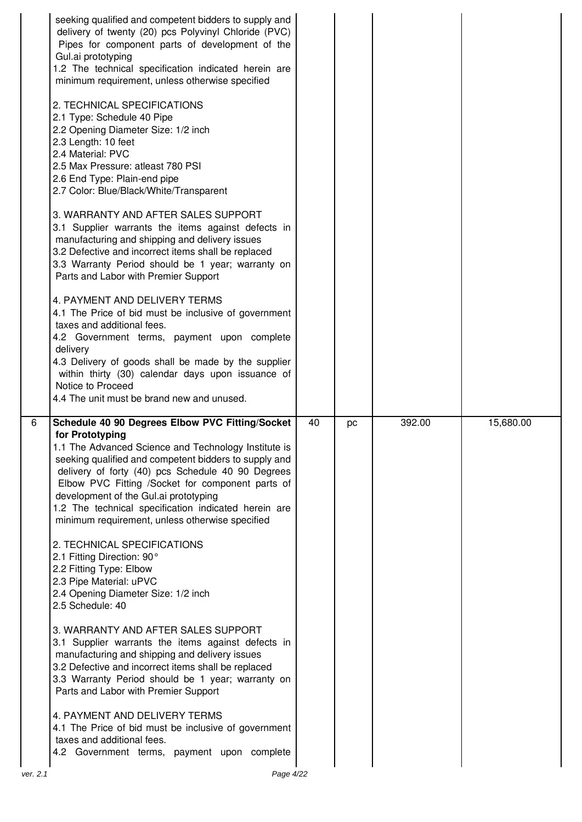|   | seeking qualified and competent bidders to supply and<br>delivery of twenty (20) pcs Polyvinyl Chloride (PVC)<br>Pipes for component parts of development of the<br>Gul.ai prototyping<br>1.2 The technical specification indicated herein are<br>minimum requirement, unless otherwise specified<br>2. TECHNICAL SPECIFICATIONS<br>2.1 Type: Schedule 40 Pipe<br>2.2 Opening Diameter Size: 1/2 inch<br>2.3 Length: 10 feet<br>2.4 Material: PVC<br>2.5 Max Pressure: atleast 780 PSI<br>2.6 End Type: Plain-end pipe<br>2.7 Color: Blue/Black/White/Transparent<br>3. WARRANTY AND AFTER SALES SUPPORT<br>3.1 Supplier warrants the items against defects in<br>manufacturing and shipping and delivery issues<br>3.2 Defective and incorrect items shall be replaced<br>3.3 Warranty Period should be 1 year; warranty on<br>Parts and Labor with Premier Support<br>4. PAYMENT AND DELIVERY TERMS<br>4.1 The Price of bid must be inclusive of government<br>taxes and additional fees.<br>4.2 Government terms, payment upon complete<br>delivery<br>4.3 Delivery of goods shall be made by the supplier<br>within thirty (30) calendar days upon issuance of<br>Notice to Proceed<br>4.4 The unit must be brand new and unused. |    |    |        |           |
|---|---------------------------------------------------------------------------------------------------------------------------------------------------------------------------------------------------------------------------------------------------------------------------------------------------------------------------------------------------------------------------------------------------------------------------------------------------------------------------------------------------------------------------------------------------------------------------------------------------------------------------------------------------------------------------------------------------------------------------------------------------------------------------------------------------------------------------------------------------------------------------------------------------------------------------------------------------------------------------------------------------------------------------------------------------------------------------------------------------------------------------------------------------------------------------------------------------------------------------------------|----|----|--------|-----------|
| 6 | Schedule 40 90 Degrees Elbow PVC Fitting/Socket<br>for Prototyping<br>1.1 The Advanced Science and Technology Institute is                                                                                                                                                                                                                                                                                                                                                                                                                                                                                                                                                                                                                                                                                                                                                                                                                                                                                                                                                                                                                                                                                                            | 40 | pc | 392.00 | 15,680.00 |
|   | seeking qualified and competent bidders to supply and<br>delivery of forty (40) pcs Schedule 40 90 Degrees<br>Elbow PVC Fitting /Socket for component parts of<br>development of the Gul.ai prototyping<br>1.2 The technical specification indicated herein are<br>minimum requirement, unless otherwise specified                                                                                                                                                                                                                                                                                                                                                                                                                                                                                                                                                                                                                                                                                                                                                                                                                                                                                                                    |    |    |        |           |
|   | 2. TECHNICAL SPECIFICATIONS<br>2.1 Fitting Direction: 90°<br>2.2 Fitting Type: Elbow<br>2.3 Pipe Material: uPVC<br>2.4 Opening Diameter Size: 1/2 inch<br>2.5 Schedule: 40                                                                                                                                                                                                                                                                                                                                                                                                                                                                                                                                                                                                                                                                                                                                                                                                                                                                                                                                                                                                                                                            |    |    |        |           |
|   | 3. WARRANTY AND AFTER SALES SUPPORT<br>3.1 Supplier warrants the items against defects in<br>manufacturing and shipping and delivery issues<br>3.2 Defective and incorrect items shall be replaced<br>3.3 Warranty Period should be 1 year; warranty on<br>Parts and Labor with Premier Support                                                                                                                                                                                                                                                                                                                                                                                                                                                                                                                                                                                                                                                                                                                                                                                                                                                                                                                                       |    |    |        |           |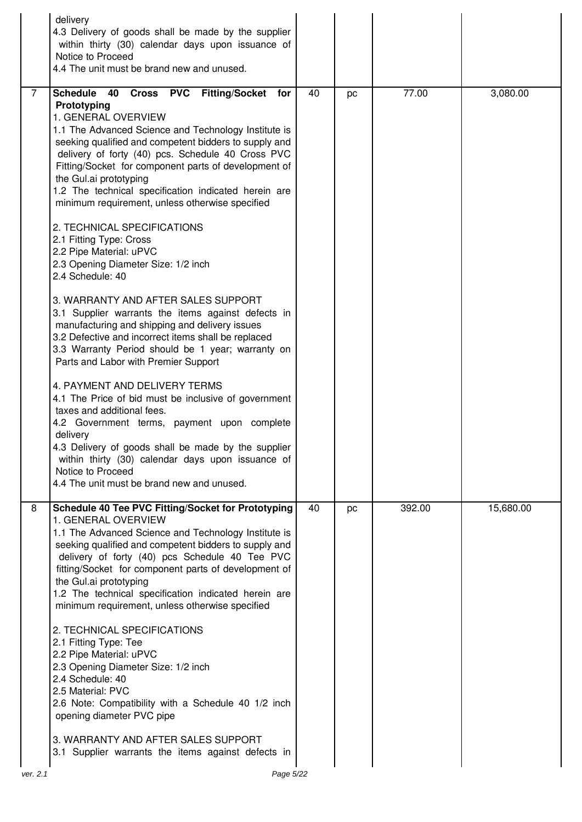|          | delivery<br>4.3 Delivery of goods shall be made by the supplier<br>within thirty (30) calendar days upon issuance of<br>Notice to Proceed<br>4.4 The unit must be brand new and unused.                                                                                                                                                                                                                                                                                                                                                                                                                                                                                                                                                                                                                                                                                                                                                                                                                                                                                                                                                                                                                                                                                  |    |    |        |           |
|----------|--------------------------------------------------------------------------------------------------------------------------------------------------------------------------------------------------------------------------------------------------------------------------------------------------------------------------------------------------------------------------------------------------------------------------------------------------------------------------------------------------------------------------------------------------------------------------------------------------------------------------------------------------------------------------------------------------------------------------------------------------------------------------------------------------------------------------------------------------------------------------------------------------------------------------------------------------------------------------------------------------------------------------------------------------------------------------------------------------------------------------------------------------------------------------------------------------------------------------------------------------------------------------|----|----|--------|-----------|
| 7        | Cross PVC Fitting/Socket for<br>Schedule 40<br>Prototyping<br>1. GENERAL OVERVIEW<br>1.1 The Advanced Science and Technology Institute is<br>seeking qualified and competent bidders to supply and<br>delivery of forty (40) pcs. Schedule 40 Cross PVC<br>Fitting/Socket for component parts of development of<br>the Gul.ai prototyping<br>1.2 The technical specification indicated herein are<br>minimum requirement, unless otherwise specified<br>2. TECHNICAL SPECIFICATIONS<br>2.1 Fitting Type: Cross<br>2.2 Pipe Material: uPVC<br>2.3 Opening Diameter Size: 1/2 inch<br>2.4 Schedule: 40<br>3. WARRANTY AND AFTER SALES SUPPORT<br>3.1 Supplier warrants the items against defects in<br>manufacturing and shipping and delivery issues<br>3.2 Defective and incorrect items shall be replaced<br>3.3 Warranty Period should be 1 year; warranty on<br>Parts and Labor with Premier Support<br>4. PAYMENT AND DELIVERY TERMS<br>4.1 The Price of bid must be inclusive of government<br>taxes and additional fees.<br>4.2 Government terms, payment upon complete<br>delivery<br>4.3 Delivery of goods shall be made by the supplier<br>within thirty (30) calendar days upon issuance of<br>Notice to Proceed<br>4.4 The unit must be brand new and unused. | 40 | pc | 77.00  | 3,080.00  |
| 8        | Schedule 40 Tee PVC Fitting/Socket for Prototyping<br>1. GENERAL OVERVIEW<br>1.1 The Advanced Science and Technology Institute is<br>seeking qualified and competent bidders to supply and<br>delivery of forty (40) pcs Schedule 40 Tee PVC<br>fitting/Socket for component parts of development of<br>the Gul.ai prototyping<br>1.2 The technical specification indicated herein are<br>minimum requirement, unless otherwise specified<br>2. TECHNICAL SPECIFICATIONS<br>2.1 Fitting Type: Tee<br>2.2 Pipe Material: uPVC<br>2.3 Opening Diameter Size: 1/2 inch<br>2.4 Schedule: 40<br>2.5 Material: PVC<br>2.6 Note: Compatibility with a Schedule 40 1/2 inch<br>opening diameter PVC pipe<br>3. WARRANTY AND AFTER SALES SUPPORT<br>3.1 Supplier warrants the items against defects in                                                                                                                                                                                                                                                                                                                                                                                                                                                                            | 40 | pc | 392.00 | 15,680.00 |
| ver. 2.1 | Page 5/22                                                                                                                                                                                                                                                                                                                                                                                                                                                                                                                                                                                                                                                                                                                                                                                                                                                                                                                                                                                                                                                                                                                                                                                                                                                                |    |    |        |           |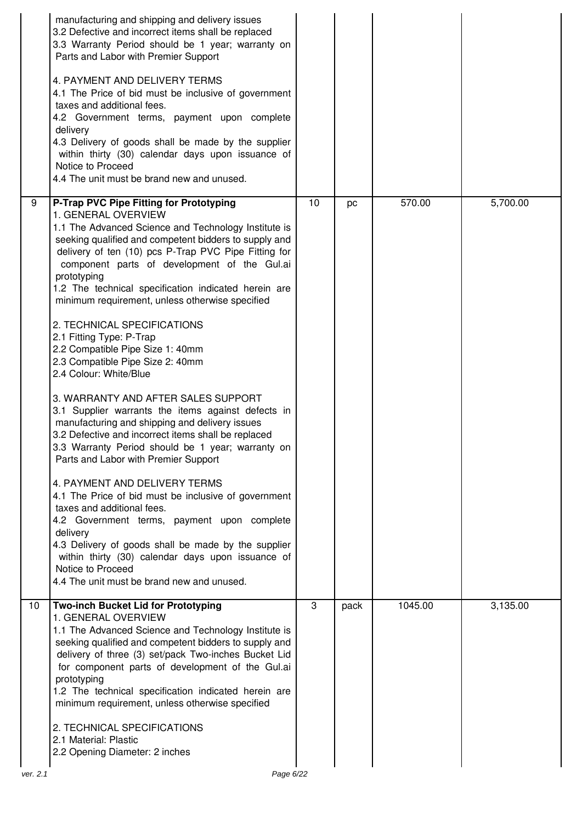|    | manufacturing and shipping and delivery issues<br>3.2 Defective and incorrect items shall be replaced<br>3.3 Warranty Period should be 1 year; warranty on<br>Parts and Labor with Premier Support<br>4. PAYMENT AND DELIVERY TERMS<br>4.1 The Price of bid must be inclusive of government<br>taxes and additional fees.<br>4.2 Government terms, payment upon complete<br>delivery<br>4.3 Delivery of goods shall be made by the supplier<br>within thirty (30) calendar days upon issuance of<br>Notice to Proceed<br>4.4 The unit must be brand new and unused.                                                                                                                                                                                                                                                                                                                                                                                                                                                                                                                                                                                                                                                                                |    |      |         |          |
|----|----------------------------------------------------------------------------------------------------------------------------------------------------------------------------------------------------------------------------------------------------------------------------------------------------------------------------------------------------------------------------------------------------------------------------------------------------------------------------------------------------------------------------------------------------------------------------------------------------------------------------------------------------------------------------------------------------------------------------------------------------------------------------------------------------------------------------------------------------------------------------------------------------------------------------------------------------------------------------------------------------------------------------------------------------------------------------------------------------------------------------------------------------------------------------------------------------------------------------------------------------|----|------|---------|----------|
| 9  | P-Trap PVC Pipe Fitting for Prototyping<br>1. GENERAL OVERVIEW<br>1.1 The Advanced Science and Technology Institute is<br>seeking qualified and competent bidders to supply and<br>delivery of ten (10) pcs P-Trap PVC Pipe Fitting for<br>component parts of development of the Gul.ai<br>prototyping<br>1.2 The technical specification indicated herein are<br>minimum requirement, unless otherwise specified<br>2. TECHNICAL SPECIFICATIONS<br>2.1 Fitting Type: P-Trap<br>2.2 Compatible Pipe Size 1: 40mm<br>2.3 Compatible Pipe Size 2: 40mm<br>2.4 Colour: White/Blue<br>3. WARRANTY AND AFTER SALES SUPPORT<br>3.1 Supplier warrants the items against defects in<br>manufacturing and shipping and delivery issues<br>3.2 Defective and incorrect items shall be replaced<br>3.3 Warranty Period should be 1 year; warranty on<br>Parts and Labor with Premier Support<br>4. PAYMENT AND DELIVERY TERMS<br>4.1 The Price of bid must be inclusive of government<br>taxes and additional fees.<br>4.2 Government terms, payment upon complete<br>delivery<br>4.3 Delivery of goods shall be made by the supplier<br>within thirty (30) calendar days upon issuance of<br>Notice to Proceed<br>4.4 The unit must be brand new and unused. | 10 | pc   | 570.00  | 5,700.00 |
| 10 | Two-inch Bucket Lid for Prototyping<br>1. GENERAL OVERVIEW<br>1.1 The Advanced Science and Technology Institute is<br>seeking qualified and competent bidders to supply and<br>delivery of three (3) set/pack Two-inches Bucket Lid<br>for component parts of development of the Gul.ai<br>prototyping<br>1.2 The technical specification indicated herein are<br>minimum requirement, unless otherwise specified<br>2. TECHNICAL SPECIFICATIONS<br>2.1 Material: Plastic<br>2.2 Opening Diameter: 2 inches                                                                                                                                                                                                                                                                                                                                                                                                                                                                                                                                                                                                                                                                                                                                        | 3  | pack | 1045.00 | 3,135.00 |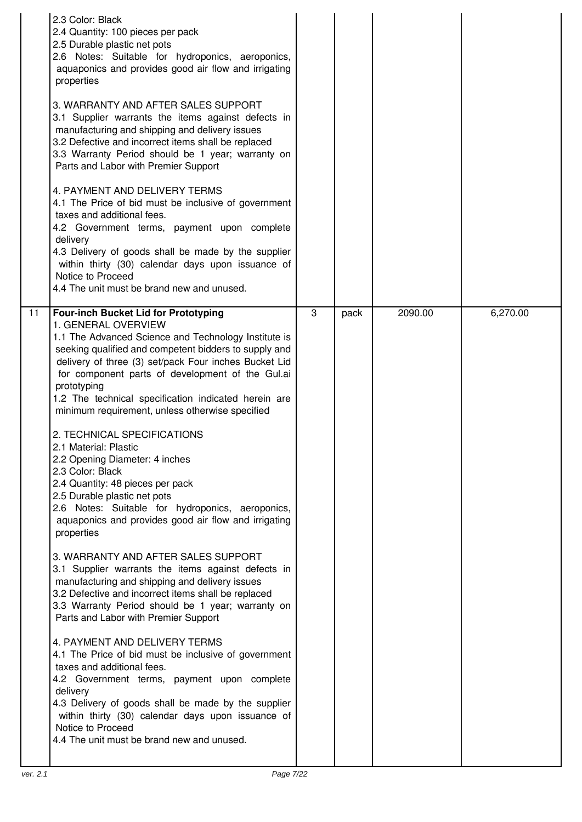|    | 2.3 Color: Black<br>2.4 Quantity: 100 pieces per pack<br>2.5 Durable plastic net pots<br>2.6 Notes: Suitable for hydroponics, aeroponics,<br>aquaponics and provides good air flow and irrigating<br>properties<br>3. WARRANTY AND AFTER SALES SUPPORT<br>3.1 Supplier warrants the items against defects in<br>manufacturing and shipping and delivery issues<br>3.2 Defective and incorrect items shall be replaced<br>3.3 Warranty Period should be 1 year; warranty on<br>Parts and Labor with Premier Support<br>4. PAYMENT AND DELIVERY TERMS<br>4.1 The Price of bid must be inclusive of government<br>taxes and additional fees.<br>4.2 Government terms, payment upon complete<br>delivery<br>4.3 Delivery of goods shall be made by the supplier<br>within thirty (30) calendar days upon issuance of<br>Notice to Proceed<br>4.4 The unit must be brand new and unused. |   |      |         |          |
|----|-------------------------------------------------------------------------------------------------------------------------------------------------------------------------------------------------------------------------------------------------------------------------------------------------------------------------------------------------------------------------------------------------------------------------------------------------------------------------------------------------------------------------------------------------------------------------------------------------------------------------------------------------------------------------------------------------------------------------------------------------------------------------------------------------------------------------------------------------------------------------------------|---|------|---------|----------|
| 11 | <b>Four-inch Bucket Lid for Prototyping</b><br>1. GENERAL OVERVIEW<br>1.1 The Advanced Science and Technology Institute is<br>seeking qualified and competent bidders to supply and<br>delivery of three (3) set/pack Four inches Bucket Lid<br>for component parts of development of the Gul.ai<br>prototyping<br>1.2 The technical specification indicated herein are<br>minimum requirement, unless otherwise specified<br>2. TECHNICAL SPECIFICATIONS<br>2.1 Material: Plastic<br>2.2 Opening Diameter: 4 inches<br>2.3 Color: Black<br>2.4 Quantity: 48 pieces per pack                                                                                                                                                                                                                                                                                                        | 3 | pack | 2090.00 | 6,270.00 |
|    | 2.5 Durable plastic net pots<br>2.6 Notes: Suitable for hydroponics, aeroponics,<br>aquaponics and provides good air flow and irrigating<br>properties<br>3. WARRANTY AND AFTER SALES SUPPORT<br>3.1 Supplier warrants the items against defects in<br>manufacturing and shipping and delivery issues<br>3.2 Defective and incorrect items shall be replaced<br>3.3 Warranty Period should be 1 year; warranty on<br>Parts and Labor with Premier Support                                                                                                                                                                                                                                                                                                                                                                                                                           |   |      |         |          |
|    | 4. PAYMENT AND DELIVERY TERMS<br>4.1 The Price of bid must be inclusive of government<br>taxes and additional fees.<br>4.2 Government terms, payment upon complete<br>delivery<br>4.3 Delivery of goods shall be made by the supplier<br>within thirty (30) calendar days upon issuance of<br>Notice to Proceed<br>4.4 The unit must be brand new and unused.                                                                                                                                                                                                                                                                                                                                                                                                                                                                                                                       |   |      |         |          |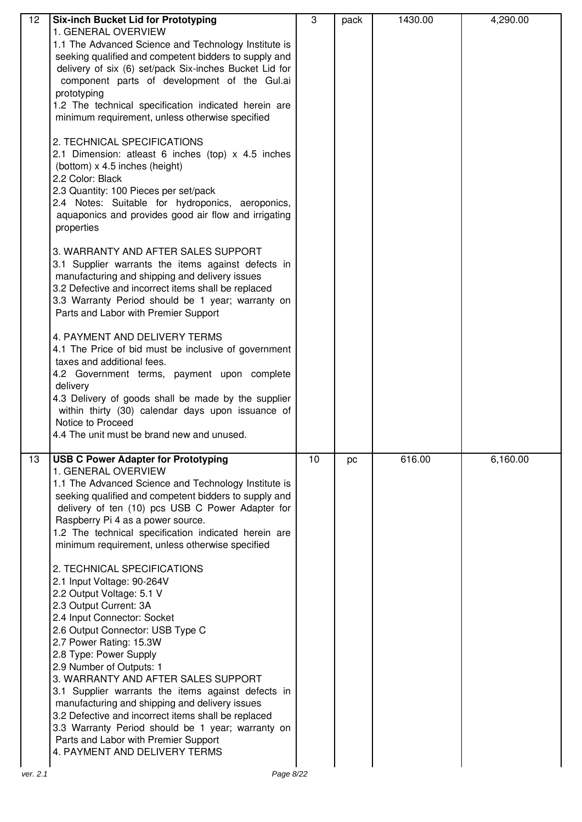| 12       | <b>Six-inch Bucket Lid for Prototyping</b><br>1. GENERAL OVERVIEW                                                                                                                                                                                                                                                                                                                                                                                                                                                                                                                                        | 3  | pack | 1430.00 | 4,290.00 |
|----------|----------------------------------------------------------------------------------------------------------------------------------------------------------------------------------------------------------------------------------------------------------------------------------------------------------------------------------------------------------------------------------------------------------------------------------------------------------------------------------------------------------------------------------------------------------------------------------------------------------|----|------|---------|----------|
|          | 1.1 The Advanced Science and Technology Institute is<br>seeking qualified and competent bidders to supply and<br>delivery of six (6) set/pack Six-inches Bucket Lid for<br>component parts of development of the Gul.ai<br>prototyping<br>1.2 The technical specification indicated herein are<br>minimum requirement, unless otherwise specified                                                                                                                                                                                                                                                        |    |      |         |          |
|          | 2. TECHNICAL SPECIFICATIONS<br>2.1 Dimension: atleast 6 inches (top) x 4.5 inches<br>(bottom) x 4.5 inches (height)<br>2.2 Color: Black<br>2.3 Quantity: 100 Pieces per set/pack<br>2.4 Notes: Suitable for hydroponics, aeroponics,<br>aquaponics and provides good air flow and irrigating<br>properties                                                                                                                                                                                                                                                                                               |    |      |         |          |
|          | 3. WARRANTY AND AFTER SALES SUPPORT<br>3.1 Supplier warrants the items against defects in<br>manufacturing and shipping and delivery issues<br>3.2 Defective and incorrect items shall be replaced<br>3.3 Warranty Period should be 1 year; warranty on<br>Parts and Labor with Premier Support                                                                                                                                                                                                                                                                                                          |    |      |         |          |
|          | 4. PAYMENT AND DELIVERY TERMS<br>4.1 The Price of bid must be inclusive of government<br>taxes and additional fees.<br>4.2 Government terms, payment upon complete<br>delivery<br>4.3 Delivery of goods shall be made by the supplier<br>within thirty (30) calendar days upon issuance of<br>Notice to Proceed<br>4.4 The unit must be brand new and unused.                                                                                                                                                                                                                                            |    |      |         |          |
| 13       | <b>USB C Power Adapter for Prototyping</b><br>1. GENERAL OVERVIEW<br>1.1 The Advanced Science and Technology Institute is<br>seeking qualified and competent bidders to supply and<br>delivery of ten (10) pcs USB C Power Adapter for<br>Raspberry Pi 4 as a power source.<br>1.2 The technical specification indicated herein are<br>minimum requirement, unless otherwise specified                                                                                                                                                                                                                   | 10 | pc   | 616.00  | 6,160.00 |
|          | 2. TECHNICAL SPECIFICATIONS<br>2.1 Input Voltage: 90-264V<br>2.2 Output Voltage: 5.1 V<br>2.3 Output Current: 3A<br>2.4 Input Connector: Socket<br>2.6 Output Connector: USB Type C<br>2.7 Power Rating: 15.3W<br>2.8 Type: Power Supply<br>2.9 Number of Outputs: 1<br>3. WARRANTY AND AFTER SALES SUPPORT<br>3.1 Supplier warrants the items against defects in<br>manufacturing and shipping and delivery issues<br>3.2 Defective and incorrect items shall be replaced<br>3.3 Warranty Period should be 1 year; warranty on<br>Parts and Labor with Premier Support<br>4. PAYMENT AND DELIVERY TERMS |    |      |         |          |
| ver. 2.1 | Page 8/22                                                                                                                                                                                                                                                                                                                                                                                                                                                                                                                                                                                                |    |      |         |          |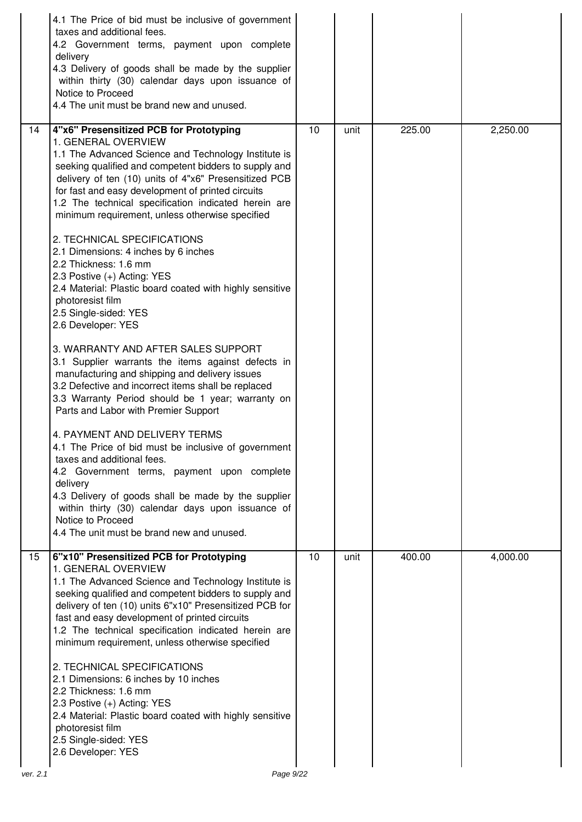| 4.1 The Price of bid must be inclusive of government<br>taxes and additional fees.<br>4.2 Government terms, payment upon complete<br>delivery<br>4.3 Delivery of goods shall be made by the supplier<br>within thirty (30) calendar days upon issuance of<br>Notice to Proceed<br>4.4 The unit must be brand new and unused.                                                                                                                                                                                                                                                                                                                                                                                                                                                                                                                                                                                                                                                                                                                                                                                                                                                                                                                                                                                                                     |    |      |        |          |
|--------------------------------------------------------------------------------------------------------------------------------------------------------------------------------------------------------------------------------------------------------------------------------------------------------------------------------------------------------------------------------------------------------------------------------------------------------------------------------------------------------------------------------------------------------------------------------------------------------------------------------------------------------------------------------------------------------------------------------------------------------------------------------------------------------------------------------------------------------------------------------------------------------------------------------------------------------------------------------------------------------------------------------------------------------------------------------------------------------------------------------------------------------------------------------------------------------------------------------------------------------------------------------------------------------------------------------------------------|----|------|--------|----------|
| 4"x6" Presensitized PCB for Prototyping<br>14<br>1. GENERAL OVERVIEW<br>1.1 The Advanced Science and Technology Institute is<br>seeking qualified and competent bidders to supply and<br>delivery of ten (10) units of 4"x6" Presensitized PCB<br>for fast and easy development of printed circuits<br>1.2 The technical specification indicated herein are<br>minimum requirement, unless otherwise specified<br>2. TECHNICAL SPECIFICATIONS<br>2.1 Dimensions: 4 inches by 6 inches<br>2.2 Thickness: 1.6 mm<br>2.3 Postive (+) Acting: YES<br>2.4 Material: Plastic board coated with highly sensitive<br>photoresist film<br>2.5 Single-sided: YES<br>2.6 Developer: YES<br>3. WARRANTY AND AFTER SALES SUPPORT<br>3.1 Supplier warrants the items against defects in<br>manufacturing and shipping and delivery issues<br>3.2 Defective and incorrect items shall be replaced<br>3.3 Warranty Period should be 1 year; warranty on<br>Parts and Labor with Premier Support<br>4. PAYMENT AND DELIVERY TERMS<br>4.1 The Price of bid must be inclusive of government<br>taxes and additional fees.<br>4.2 Government terms, payment upon complete<br>delivery<br>4.3 Delivery of goods shall be made by the supplier<br>within thirty (30) calendar days upon issuance of<br>Notice to Proceed<br>4.4 The unit must be brand new and unused. | 10 | unit | 225.00 | 2,250.00 |
| 6"x10" Presensitized PCB for Prototyping<br>15<br>1. GENERAL OVERVIEW<br>1.1 The Advanced Science and Technology Institute is<br>seeking qualified and competent bidders to supply and<br>delivery of ten (10) units 6"x10" Presensitized PCB for<br>fast and easy development of printed circuits<br>1.2 The technical specification indicated herein are<br>minimum requirement, unless otherwise specified<br>2. TECHNICAL SPECIFICATIONS<br>2.1 Dimensions: 6 inches by 10 inches<br>2.2 Thickness: 1.6 mm<br>2.3 Postive (+) Acting: YES<br>2.4 Material: Plastic board coated with highly sensitive<br>photoresist film<br>2.5 Single-sided: YES<br>2.6 Developer: YES<br>Page 9/22<br>ver. 2.1                                                                                                                                                                                                                                                                                                                                                                                                                                                                                                                                                                                                                                            | 10 | unit | 400.00 | 4,000.00 |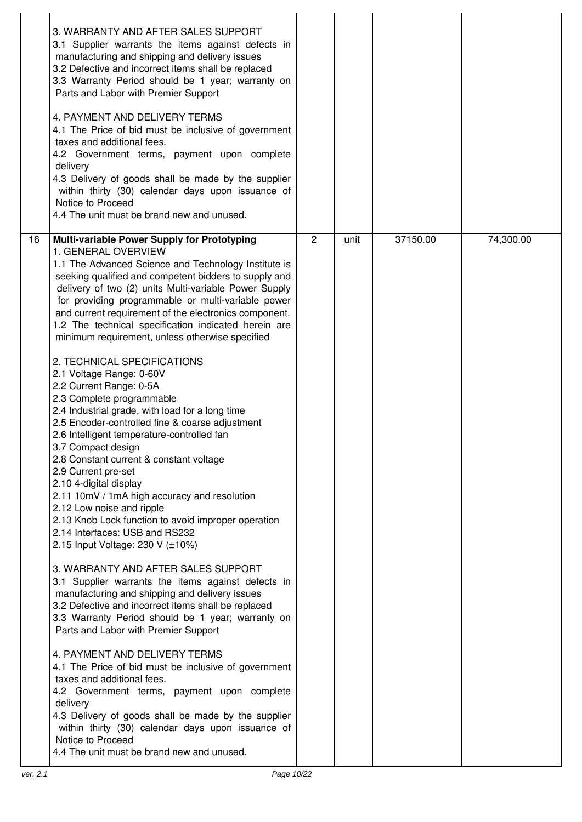|    | 3. WARRANTY AND AFTER SALES SUPPORT<br>3.1 Supplier warrants the items against defects in<br>manufacturing and shipping and delivery issues<br>3.2 Defective and incorrect items shall be replaced<br>3.3 Warranty Period should be 1 year; warranty on<br>Parts and Labor with Premier Support                                                                                                                                                                                                                                                                                                                                                                                                                                                                                                                                                                                                                                                                                                                                                                                                                                                                                                                                                                                                                                                                                                                                                                                                                                                                                                                                                                                                 |                |      |          |           |  |
|----|-------------------------------------------------------------------------------------------------------------------------------------------------------------------------------------------------------------------------------------------------------------------------------------------------------------------------------------------------------------------------------------------------------------------------------------------------------------------------------------------------------------------------------------------------------------------------------------------------------------------------------------------------------------------------------------------------------------------------------------------------------------------------------------------------------------------------------------------------------------------------------------------------------------------------------------------------------------------------------------------------------------------------------------------------------------------------------------------------------------------------------------------------------------------------------------------------------------------------------------------------------------------------------------------------------------------------------------------------------------------------------------------------------------------------------------------------------------------------------------------------------------------------------------------------------------------------------------------------------------------------------------------------------------------------------------------------|----------------|------|----------|-----------|--|
|    | 4. PAYMENT AND DELIVERY TERMS<br>4.1 The Price of bid must be inclusive of government<br>taxes and additional fees.<br>4.2 Government terms, payment upon complete<br>delivery<br>4.3 Delivery of goods shall be made by the supplier<br>within thirty (30) calendar days upon issuance of<br>Notice to Proceed<br>4.4 The unit must be brand new and unused.                                                                                                                                                                                                                                                                                                                                                                                                                                                                                                                                                                                                                                                                                                                                                                                                                                                                                                                                                                                                                                                                                                                                                                                                                                                                                                                                   |                |      |          |           |  |
| 16 | Multi-variable Power Supply for Prototyping<br>1. GENERAL OVERVIEW<br>1.1 The Advanced Science and Technology Institute is<br>seeking qualified and competent bidders to supply and<br>delivery of two (2) units Multi-variable Power Supply<br>for providing programmable or multi-variable power<br>and current requirement of the electronics component.<br>1.2 The technical specification indicated herein are<br>minimum requirement, unless otherwise specified<br>2. TECHNICAL SPECIFICATIONS<br>2.1 Voltage Range: 0-60V<br>2.2 Current Range: 0-5A<br>2.3 Complete programmable<br>2.4 Industrial grade, with load for a long time<br>2.5 Encoder-controlled fine & coarse adjustment<br>2.6 Intelligent temperature-controlled fan<br>3.7 Compact design<br>2.8 Constant current & constant voltage<br>2.9 Current pre-set<br>2.10 4-digital display<br>2.11 10mV / 1mA high accuracy and resolution<br>2.12 Low noise and ripple<br>2.13 Knob Lock function to avoid improper operation<br>2.14 Interfaces: USB and RS232<br>2.15 Input Voltage: 230 V (±10%)<br>3. WARRANTY AND AFTER SALES SUPPORT<br>3.1 Supplier warrants the items against defects in<br>manufacturing and shipping and delivery issues<br>3.2 Defective and incorrect items shall be replaced<br>3.3 Warranty Period should be 1 year; warranty on<br>Parts and Labor with Premier Support<br>4. PAYMENT AND DELIVERY TERMS<br>4.1 The Price of bid must be inclusive of government<br>taxes and additional fees.<br>4.2 Government terms, payment upon complete<br>delivery<br>4.3 Delivery of goods shall be made by the supplier<br>within thirty (30) calendar days upon issuance of<br>Notice to Proceed | $\overline{2}$ | unit | 37150.00 | 74,300.00 |  |
|    | 4.4 The unit must be brand new and unused.                                                                                                                                                                                                                                                                                                                                                                                                                                                                                                                                                                                                                                                                                                                                                                                                                                                                                                                                                                                                                                                                                                                                                                                                                                                                                                                                                                                                                                                                                                                                                                                                                                                      |                |      |          |           |  |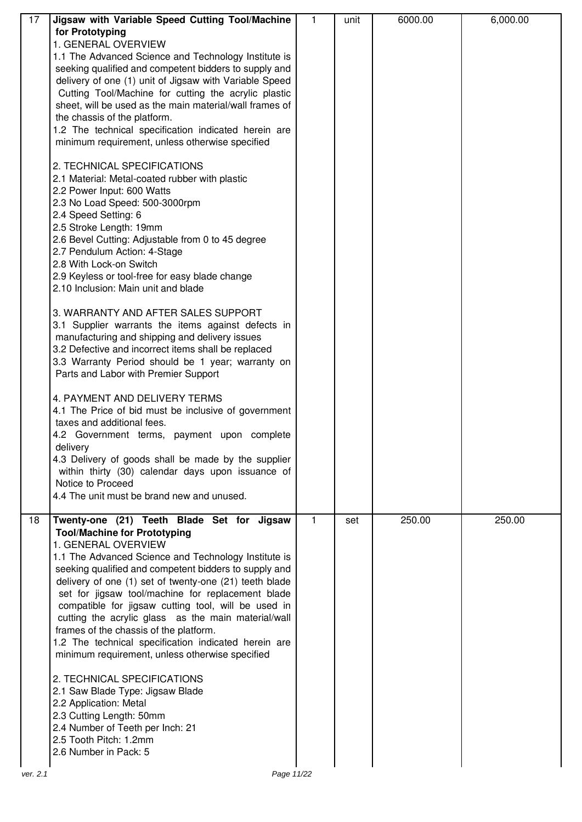| 17 | Jigsaw with Variable Speed Cutting Tool/Machine         | 1            | unit | 6000.00 | 6,000.00 |
|----|---------------------------------------------------------|--------------|------|---------|----------|
|    | for Prototyping                                         |              |      |         |          |
|    | 1. GENERAL OVERVIEW                                     |              |      |         |          |
|    | 1.1 The Advanced Science and Technology Institute is    |              |      |         |          |
|    | seeking qualified and competent bidders to supply and   |              |      |         |          |
|    | delivery of one (1) unit of Jigsaw with Variable Speed  |              |      |         |          |
|    | Cutting Tool/Machine for cutting the acrylic plastic    |              |      |         |          |
|    | sheet, will be used as the main material/wall frames of |              |      |         |          |
|    | the chassis of the platform.                            |              |      |         |          |
|    | 1.2 The technical specification indicated herein are    |              |      |         |          |
|    | minimum requirement, unless otherwise specified         |              |      |         |          |
|    |                                                         |              |      |         |          |
|    | 2. TECHNICAL SPECIFICATIONS                             |              |      |         |          |
|    | 2.1 Material: Metal-coated rubber with plastic          |              |      |         |          |
|    | 2.2 Power Input: 600 Watts                              |              |      |         |          |
|    | 2.3 No Load Speed: 500-3000rpm                          |              |      |         |          |
|    | 2.4 Speed Setting: 6                                    |              |      |         |          |
|    | 2.5 Stroke Length: 19mm                                 |              |      |         |          |
|    | 2.6 Bevel Cutting: Adjustable from 0 to 45 degree       |              |      |         |          |
|    |                                                         |              |      |         |          |
|    | 2.7 Pendulum Action: 4-Stage                            |              |      |         |          |
|    | 2.8 With Lock-on Switch                                 |              |      |         |          |
|    | 2.9 Keyless or tool-free for easy blade change          |              |      |         |          |
|    | 2.10 Inclusion: Main unit and blade                     |              |      |         |          |
|    |                                                         |              |      |         |          |
|    | 3. WARRANTY AND AFTER SALES SUPPORT                     |              |      |         |          |
|    | 3.1 Supplier warrants the items against defects in      |              |      |         |          |
|    | manufacturing and shipping and delivery issues          |              |      |         |          |
|    | 3.2 Defective and incorrect items shall be replaced     |              |      |         |          |
|    | 3.3 Warranty Period should be 1 year; warranty on       |              |      |         |          |
|    | Parts and Labor with Premier Support                    |              |      |         |          |
|    |                                                         |              |      |         |          |
|    | 4. PAYMENT AND DELIVERY TERMS                           |              |      |         |          |
|    | 4.1 The Price of bid must be inclusive of government    |              |      |         |          |
|    | taxes and additional fees.                              |              |      |         |          |
|    | 4.2 Government terms, payment upon complete             |              |      |         |          |
|    | delivery                                                |              |      |         |          |
|    | 4.3 Delivery of goods shall be made by the supplier     |              |      |         |          |
|    | within thirty (30) calendar days upon issuance of       |              |      |         |          |
|    | Notice to Proceed                                       |              |      |         |          |
|    | 4.4 The unit must be brand new and unused.              |              |      |         |          |
|    |                                                         |              |      |         |          |
| 18 | Twenty-one (21) Teeth Blade Set for Jigsaw              | $\mathbf{1}$ | set  | 250.00  | 250.00   |
|    | <b>Tool/Machine for Prototyping</b>                     |              |      |         |          |
|    | 1. GENERAL OVERVIEW                                     |              |      |         |          |
|    | 1.1 The Advanced Science and Technology Institute is    |              |      |         |          |
|    | seeking qualified and competent bidders to supply and   |              |      |         |          |
|    | delivery of one (1) set of twenty-one (21) teeth blade  |              |      |         |          |
|    | set for jigsaw tool/machine for replacement blade       |              |      |         |          |
|    | compatible for jigsaw cutting tool, will be used in     |              |      |         |          |
|    | cutting the acrylic glass as the main material/wall     |              |      |         |          |
|    | frames of the chassis of the platform.                  |              |      |         |          |
|    | 1.2 The technical specification indicated herein are    |              |      |         |          |
|    | minimum requirement, unless otherwise specified         |              |      |         |          |
|    |                                                         |              |      |         |          |
|    | 2. TECHNICAL SPECIFICATIONS                             |              |      |         |          |
|    | 2.1 Saw Blade Type: Jigsaw Blade                        |              |      |         |          |
|    | 2.2 Application: Metal                                  |              |      |         |          |
|    | 2.3 Cutting Length: 50mm                                |              |      |         |          |
|    | 2.4 Number of Teeth per Inch: 21                        |              |      |         |          |
|    | 2.5 Tooth Pitch: 1.2mm                                  |              |      |         |          |
|    | 2.6 Number in Pack: 5                                   |              |      |         |          |
|    |                                                         |              |      |         |          |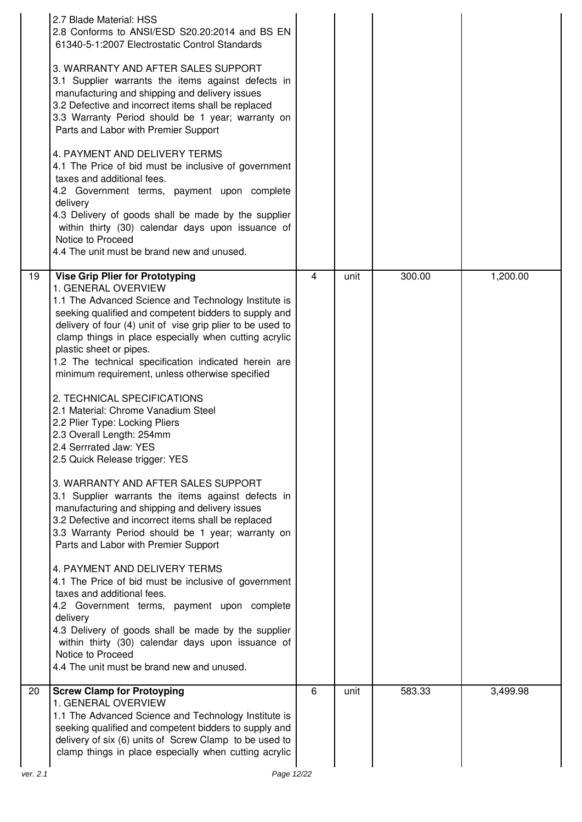|          | 2.7 Blade Material: HSS<br>2.8 Conforms to ANSI/ESD S20.20:2014 and BS EN<br>61340-5-1:2007 Electrostatic Control Standards<br>3. WARRANTY AND AFTER SALES SUPPORT<br>3.1 Supplier warrants the items against defects in<br>manufacturing and shipping and delivery issues<br>3.2 Defective and incorrect items shall be replaced<br>3.3 Warranty Period should be 1 year; warranty on<br>Parts and Labor with Premier Support<br>4. PAYMENT AND DELIVERY TERMS<br>4.1 The Price of bid must be inclusive of government<br>taxes and additional fees.<br>4.2 Government terms, payment upon complete<br>delivery<br>4.3 Delivery of goods shall be made by the supplier<br>within thirty (30) calendar days upon issuance of<br>Notice to Proceed<br>4.4 The unit must be brand new and unused.                                                                                                                                                                                                                                                                                                                                                                                                                                                                                                                  |   |      |        |          |
|----------|------------------------------------------------------------------------------------------------------------------------------------------------------------------------------------------------------------------------------------------------------------------------------------------------------------------------------------------------------------------------------------------------------------------------------------------------------------------------------------------------------------------------------------------------------------------------------------------------------------------------------------------------------------------------------------------------------------------------------------------------------------------------------------------------------------------------------------------------------------------------------------------------------------------------------------------------------------------------------------------------------------------------------------------------------------------------------------------------------------------------------------------------------------------------------------------------------------------------------------------------------------------------------------------------------------------|---|------|--------|----------|
| 19       | <b>Vise Grip Plier for Prototyping</b><br>1. GENERAL OVERVIEW<br>1.1 The Advanced Science and Technology Institute is<br>seeking qualified and competent bidders to supply and<br>delivery of four (4) unit of vise grip plier to be used to<br>clamp things in place especially when cutting acrylic<br>plastic sheet or pipes.<br>1.2 The technical specification indicated herein are<br>minimum requirement, unless otherwise specified<br>2. TECHNICAL SPECIFICATIONS<br>2.1 Material: Chrome Vanadium Steel<br>2.2 Plier Type: Locking Pliers<br>2.3 Overall Length: 254mm<br>2.4 Serrrated Jaw: YES<br>2.5 Quick Release trigger: YES<br>3. WARRANTY AND AFTER SALES SUPPORT<br>3.1 Supplier warrants the items against defects in<br>manufacturing and shipping and delivery issues<br>3.2 Defective and incorrect items shall be replaced<br>3.3 Warranty Period should be 1 year; warranty on<br>Parts and Labor with Premier Support<br>4. PAYMENT AND DELIVERY TERMS<br>4.1 The Price of bid must be inclusive of government<br>taxes and additional fees.<br>4.2 Government terms, payment upon complete<br>delivery<br>4.3 Delivery of goods shall be made by the supplier<br>within thirty (30) calendar days upon issuance of<br>Notice to Proceed<br>4.4 The unit must be brand new and unused. | 4 | unit | 300.00 | 1,200.00 |
| 20       | <b>Screw Clamp for Protoyping</b><br>1. GENERAL OVERVIEW<br>1.1 The Advanced Science and Technology Institute is<br>seeking qualified and competent bidders to supply and<br>delivery of six (6) units of Screw Clamp to be used to<br>clamp things in place especially when cutting acrylic                                                                                                                                                                                                                                                                                                                                                                                                                                                                                                                                                                                                                                                                                                                                                                                                                                                                                                                                                                                                                     | 6 | unit | 583.33 | 3,499.98 |
| ver. 2.1 | Page 12/22                                                                                                                                                                                                                                                                                                                                                                                                                                                                                                                                                                                                                                                                                                                                                                                                                                                                                                                                                                                                                                                                                                                                                                                                                                                                                                       |   |      |        |          |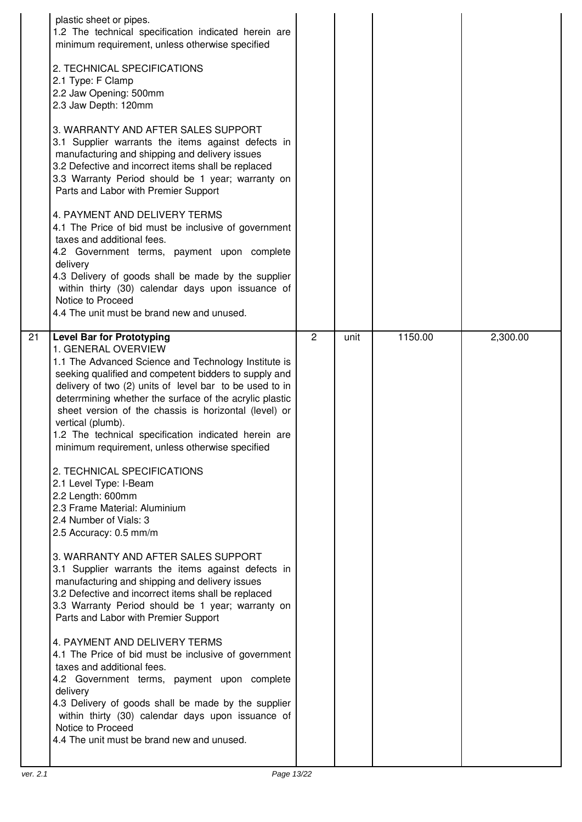|                 | plastic sheet or pipes.<br>1.2 The technical specification indicated herein are<br>minimum requirement, unless otherwise specified<br>2. TECHNICAL SPECIFICATIONS<br>2.1 Type: F Clamp<br>2.2 Jaw Opening: 500mm<br>2.3 Jaw Depth: 120mm<br>3. WARRANTY AND AFTER SALES SUPPORT<br>3.1 Supplier warrants the items against defects in<br>manufacturing and shipping and delivery issues<br>3.2 Defective and incorrect items shall be replaced<br>3.3 Warranty Period should be 1 year; warranty on<br>Parts and Labor with Premier Support<br>4. PAYMENT AND DELIVERY TERMS<br>4.1 The Price of bid must be inclusive of government<br>taxes and additional fees.<br>4.2 Government terms, payment upon complete<br>delivery<br>4.3 Delivery of goods shall be made by the supplier<br>within thirty (30) calendar days upon issuance of<br>Notice to Proceed<br>4.4 The unit must be brand new and unused.                                                                                                                                                                                                                                                                                                                                                                                                                   |                |      |         |          |
|-----------------|--------------------------------------------------------------------------------------------------------------------------------------------------------------------------------------------------------------------------------------------------------------------------------------------------------------------------------------------------------------------------------------------------------------------------------------------------------------------------------------------------------------------------------------------------------------------------------------------------------------------------------------------------------------------------------------------------------------------------------------------------------------------------------------------------------------------------------------------------------------------------------------------------------------------------------------------------------------------------------------------------------------------------------------------------------------------------------------------------------------------------------------------------------------------------------------------------------------------------------------------------------------------------------------------------------------------------------|----------------|------|---------|----------|
| $\overline{21}$ | <b>Level Bar for Prototyping</b><br>1. GENERAL OVERVIEW<br>1.1 The Advanced Science and Technology Institute is<br>seeking qualified and competent bidders to supply and<br>delivery of two (2) units of level bar to be used to in<br>deterrmining whether the surface of the acrylic plastic<br>sheet version of the chassis is horizontal (level) or<br>vertical (plumb).<br>1.2 The technical specification indicated herein are<br>minimum requirement, unless otherwise specified<br>2. TECHNICAL SPECIFICATIONS<br>2.1 Level Type: I-Beam<br>2.2 Length: 600mm<br>2.3 Frame Material: Aluminium<br>2.4 Number of Vials: 3<br>2.5 Accuracy: 0.5 mm/m<br>3. WARRANTY AND AFTER SALES SUPPORT<br>3.1 Supplier warrants the items against defects in<br>manufacturing and shipping and delivery issues<br>3.2 Defective and incorrect items shall be replaced<br>3.3 Warranty Period should be 1 year; warranty on<br>Parts and Labor with Premier Support<br>4. PAYMENT AND DELIVERY TERMS<br>4.1 The Price of bid must be inclusive of government<br>taxes and additional fees.<br>4.2 Government terms, payment upon complete<br>delivery<br>4.3 Delivery of goods shall be made by the supplier<br>within thirty (30) calendar days upon issuance of<br>Notice to Proceed<br>4.4 The unit must be brand new and unused. | $\overline{2}$ | unit | 1150.00 | 2,300.00 |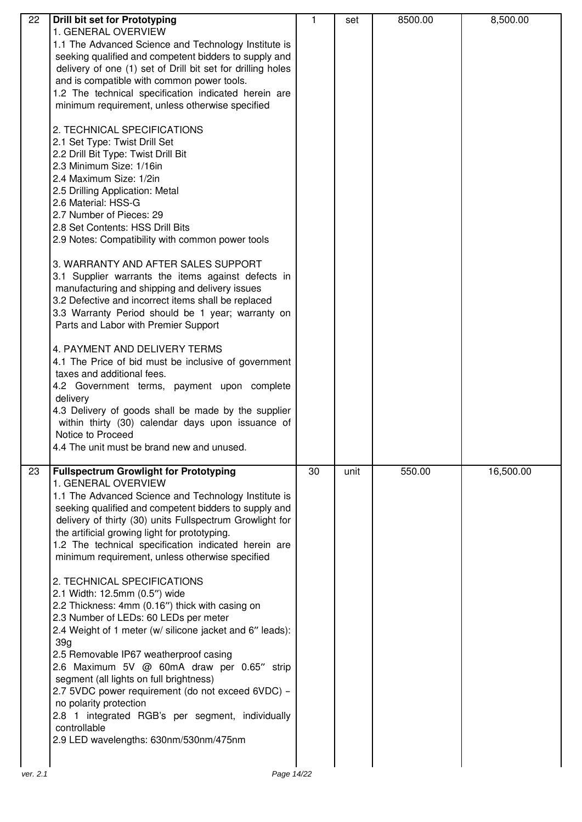| 22       | Drill bit set for Prototyping                                                        | 1  | set  | 8500.00 | 8,500.00  |
|----------|--------------------------------------------------------------------------------------|----|------|---------|-----------|
|          | 1. GENERAL OVERVIEW                                                                  |    |      |         |           |
|          | 1.1 The Advanced Science and Technology Institute is                                 |    |      |         |           |
|          | seeking qualified and competent bidders to supply and                                |    |      |         |           |
|          | delivery of one (1) set of Drill bit set for drilling holes                          |    |      |         |           |
|          | and is compatible with common power tools.                                           |    |      |         |           |
|          | 1.2 The technical specification indicated herein are                                 |    |      |         |           |
|          | minimum requirement, unless otherwise specified                                      |    |      |         |           |
|          | 2. TECHNICAL SPECIFICATIONS                                                          |    |      |         |           |
|          |                                                                                      |    |      |         |           |
|          | 2.1 Set Type: Twist Drill Set                                                        |    |      |         |           |
|          | 2.2 Drill Bit Type: Twist Drill Bit<br>2.3 Minimum Size: 1/16in                      |    |      |         |           |
|          | 2.4 Maximum Size: 1/2in                                                              |    |      |         |           |
|          | 2.5 Drilling Application: Metal                                                      |    |      |         |           |
|          | 2.6 Material: HSS-G                                                                  |    |      |         |           |
|          | 2.7 Number of Pieces: 29                                                             |    |      |         |           |
|          | 2.8 Set Contents: HSS Drill Bits                                                     |    |      |         |           |
|          | 2.9 Notes: Compatibility with common power tools                                     |    |      |         |           |
|          |                                                                                      |    |      |         |           |
|          | 3. WARRANTY AND AFTER SALES SUPPORT                                                  |    |      |         |           |
|          | 3.1 Supplier warrants the items against defects in                                   |    |      |         |           |
|          | manufacturing and shipping and delivery issues                                       |    |      |         |           |
|          | 3.2 Defective and incorrect items shall be replaced                                  |    |      |         |           |
|          | 3.3 Warranty Period should be 1 year; warranty on                                    |    |      |         |           |
|          | Parts and Labor with Premier Support                                                 |    |      |         |           |
|          | 4. PAYMENT AND DELIVERY TERMS                                                        |    |      |         |           |
|          | 4.1 The Price of bid must be inclusive of government                                 |    |      |         |           |
|          | taxes and additional fees.                                                           |    |      |         |           |
|          | 4.2 Government terms, payment upon complete                                          |    |      |         |           |
|          | delivery                                                                             |    |      |         |           |
|          | 4.3 Delivery of goods shall be made by the supplier                                  |    |      |         |           |
|          | within thirty (30) calendar days upon issuance of                                    |    |      |         |           |
|          | Notice to Proceed                                                                    |    |      |         |           |
|          | 4.4 The unit must be brand new and unused.                                           |    |      |         |           |
| 23       | <b>Fullspectrum Growlight for Prototyping</b>                                        | 30 | unit | 550.00  | 16,500.00 |
|          | 1. GENERAL OVERVIEW                                                                  |    |      |         |           |
|          | 1.1 The Advanced Science and Technology Institute is                                 |    |      |         |           |
|          | seeking qualified and competent bidders to supply and                                |    |      |         |           |
|          | delivery of thirty (30) units Fullspectrum Growlight for                             |    |      |         |           |
|          | the artificial growing light for prototyping.                                        |    |      |         |           |
|          | 1.2 The technical specification indicated herein are                                 |    |      |         |           |
|          | minimum requirement, unless otherwise specified                                      |    |      |         |           |
|          |                                                                                      |    |      |         |           |
|          | 2. TECHNICAL SPECIFICATIONS                                                          |    |      |         |           |
|          | 2.1 Width: 12.5mm (0.5") wide                                                        |    |      |         |           |
|          | 2.2 Thickness: 4mm (0.16") thick with casing on                                      |    |      |         |           |
|          | 2.3 Number of LEDs: 60 LEDs per meter                                                |    |      |         |           |
|          | 2.4 Weight of 1 meter (w/ silicone jacket and 6" leads):                             |    |      |         |           |
|          | 39 <sub>q</sub>                                                                      |    |      |         |           |
|          | 2.5 Removable IP67 weatherproof casing<br>2.6 Maximum 5V @ 60mA draw per 0.65" strip |    |      |         |           |
|          | segment (all lights on full brightness)                                              |    |      |         |           |
|          | 2.7 5VDC power requirement (do not exceed 6VDC) -                                    |    |      |         |           |
|          | no polarity protection                                                               |    |      |         |           |
|          | 2.8 1 integrated RGB's per segment, individually                                     |    |      |         |           |
|          | controllable                                                                         |    |      |         |           |
|          | 2.9 LED wavelengths: 630nm/530nm/475nm                                               |    |      |         |           |
|          |                                                                                      |    |      |         |           |
| ver. 2.1 | Page 14/22                                                                           |    |      |         |           |
|          |                                                                                      |    |      |         |           |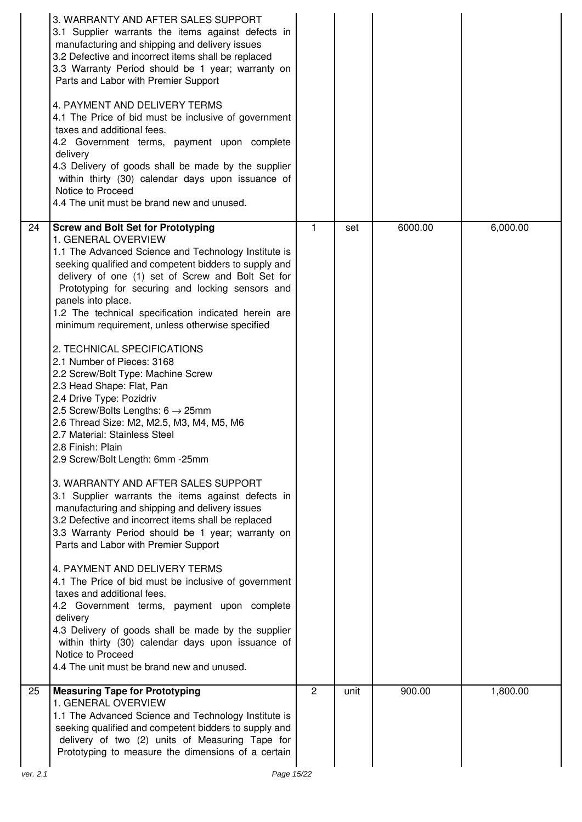|          | 3. WARRANTY AND AFTER SALES SUPPORT<br>3.1 Supplier warrants the items against defects in<br>manufacturing and shipping and delivery issues<br>3.2 Defective and incorrect items shall be replaced<br>3.3 Warranty Period should be 1 year; warranty on<br>Parts and Labor with Premier Support<br>4. PAYMENT AND DELIVERY TERMS<br>4.1 The Price of bid must be inclusive of government<br>taxes and additional fees.<br>4.2 Government terms, payment upon complete<br>delivery<br>4.3 Delivery of goods shall be made by the supplier<br>within thirty (30) calendar days upon issuance of<br>Notice to Proceed<br>4.4 The unit must be brand new and unused.                                                                                                                                                                                                                                                                                                                                                                                                                                                                                                                                                                                                                                                                                                                                                                                       |                |      |         |          |
|----------|--------------------------------------------------------------------------------------------------------------------------------------------------------------------------------------------------------------------------------------------------------------------------------------------------------------------------------------------------------------------------------------------------------------------------------------------------------------------------------------------------------------------------------------------------------------------------------------------------------------------------------------------------------------------------------------------------------------------------------------------------------------------------------------------------------------------------------------------------------------------------------------------------------------------------------------------------------------------------------------------------------------------------------------------------------------------------------------------------------------------------------------------------------------------------------------------------------------------------------------------------------------------------------------------------------------------------------------------------------------------------------------------------------------------------------------------------------|----------------|------|---------|----------|
| 24       | <b>Screw and Bolt Set for Prototyping</b><br>1. GENERAL OVERVIEW<br>1.1 The Advanced Science and Technology Institute is<br>seeking qualified and competent bidders to supply and<br>delivery of one (1) set of Screw and Bolt Set for<br>Prototyping for securing and locking sensors and<br>panels into place.<br>1.2 The technical specification indicated herein are<br>minimum requirement, unless otherwise specified<br>2. TECHNICAL SPECIFICATIONS<br>2.1 Number of Pieces: 3168<br>2.2 Screw/Bolt Type: Machine Screw<br>2.3 Head Shape: Flat, Pan<br>2.4 Drive Type: Pozidriv<br>2.5 Screw/Bolts Lengths: $6 \rightarrow 25$ mm<br>2.6 Thread Size: M2, M2.5, M3, M4, M5, M6<br>2.7 Material: Stainless Steel<br>l 2.8 Finish: Plain<br>2.9 Screw/Bolt Length: 6mm -25mm<br>3. WARRANTY AND AFTER SALES SUPPORT<br>3.1 Supplier warrants the items against defects in<br>manufacturing and shipping and delivery issues<br>3.2 Defective and incorrect items shall be replaced<br>3.3 Warranty Period should be 1 year; warranty on<br>Parts and Labor with Premier Support<br>4. PAYMENT AND DELIVERY TERMS<br>4.1 The Price of bid must be inclusive of government<br>taxes and additional fees.<br>4.2 Government terms, payment upon complete<br>delivery<br>4.3 Delivery of goods shall be made by the supplier<br>within thirty (30) calendar days upon issuance of<br>Notice to Proceed<br>4.4 The unit must be brand new and unused. | $\mathbf{1}$   | set  | 6000.00 | 6,000.00 |
| 25       | <b>Measuring Tape for Prototyping</b><br>1. GENERAL OVERVIEW<br>1.1 The Advanced Science and Technology Institute is<br>seeking qualified and competent bidders to supply and<br>delivery of two (2) units of Measuring Tape for<br>Prototyping to measure the dimensions of a certain                                                                                                                                                                                                                                                                                                                                                                                                                                                                                                                                                                                                                                                                                                                                                                                                                                                                                                                                                                                                                                                                                                                                                                 | $\overline{2}$ | unit | 900.00  | 1,800.00 |
| ver. 2.1 | Page 15/22                                                                                                                                                                                                                                                                                                                                                                                                                                                                                                                                                                                                                                                                                                                                                                                                                                                                                                                                                                                                                                                                                                                                                                                                                                                                                                                                                                                                                                             |                |      |         |          |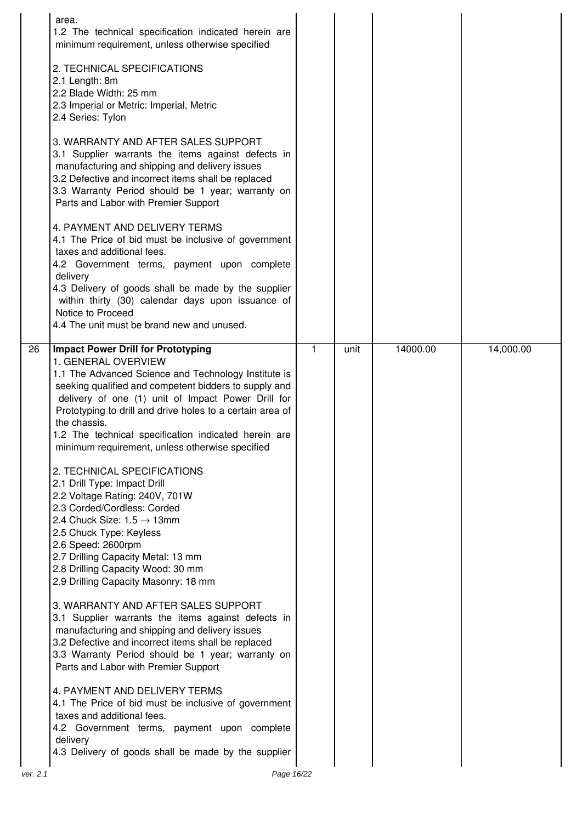| area.<br>1.2 The technical specification indicated herein are<br>minimum requirement, unless otherwise specified<br>2. TECHNICAL SPECIFICATIONS<br>2.1 Length: 8m<br>2.2 Blade Width: 25 mm<br>2.3 Imperial or Metric: Imperial, Metric<br>2.4 Series: Tylon<br>3. WARRANTY AND AFTER SALES SUPPORT<br>3.1 Supplier warrants the items against defects in<br>manufacturing and shipping and delivery issues<br>3.2 Defective and incorrect items shall be replaced<br>3.3 Warranty Period should be 1 year; warranty on<br>Parts and Labor with Premier Support<br>4. PAYMENT AND DELIVERY TERMS<br>4.1 The Price of bid must be inclusive of government<br>taxes and additional fees.<br>4.2 Government terms, payment upon complete<br>delivery<br>4.3 Delivery of goods shall be made by the supplier<br>within thirty (30) calendar days upon issuance of<br>Notice to Proceed<br>4.4 The unit must be brand new and unused.                                                                                                                                                                                                                                                                               |   |      |          |           |
|----------------------------------------------------------------------------------------------------------------------------------------------------------------------------------------------------------------------------------------------------------------------------------------------------------------------------------------------------------------------------------------------------------------------------------------------------------------------------------------------------------------------------------------------------------------------------------------------------------------------------------------------------------------------------------------------------------------------------------------------------------------------------------------------------------------------------------------------------------------------------------------------------------------------------------------------------------------------------------------------------------------------------------------------------------------------------------------------------------------------------------------------------------------------------------------------------------------|---|------|----------|-----------|
| 26<br><b>Impact Power Drill for Prototyping</b><br>1. GENERAL OVERVIEW<br>1.1 The Advanced Science and Technology Institute is<br>seeking qualified and competent bidders to supply and<br>delivery of one (1) unit of Impact Power Drill for<br>Prototyping to drill and drive holes to a certain area of<br>the chassis.<br>1.2 The technical specification indicated herein are<br>minimum requirement, unless otherwise specified<br>2. TECHNICAL SPECIFICATIONS<br>2.1 Drill Type: Impact Drill<br>2.2 Voltage Rating: 240V, 701W<br>2.3 Corded/Cordless: Corded<br>2.4 Chuck Size: $1.5 \rightarrow 13$ mm<br>2.5 Chuck Type: Keyless<br>2.6 Speed: 2600rpm<br>2.7 Drilling Capacity Metal: 13 mm<br>2.8 Drilling Capacity Wood: 30 mm<br>2.9 Drilling Capacity Masonry: 18 mm<br>3. WARRANTY AND AFTER SALES SUPPORT<br>3.1 Supplier warrants the items against defects in<br>manufacturing and shipping and delivery issues<br>3.2 Defective and incorrect items shall be replaced<br>3.3 Warranty Period should be 1 year; warranty on<br>Parts and Labor with Premier Support<br>4. PAYMENT AND DELIVERY TERMS<br>4.1 The Price of bid must be inclusive of government<br>taxes and additional fees. | 1 | unit | 14000.00 | 14,000.00 |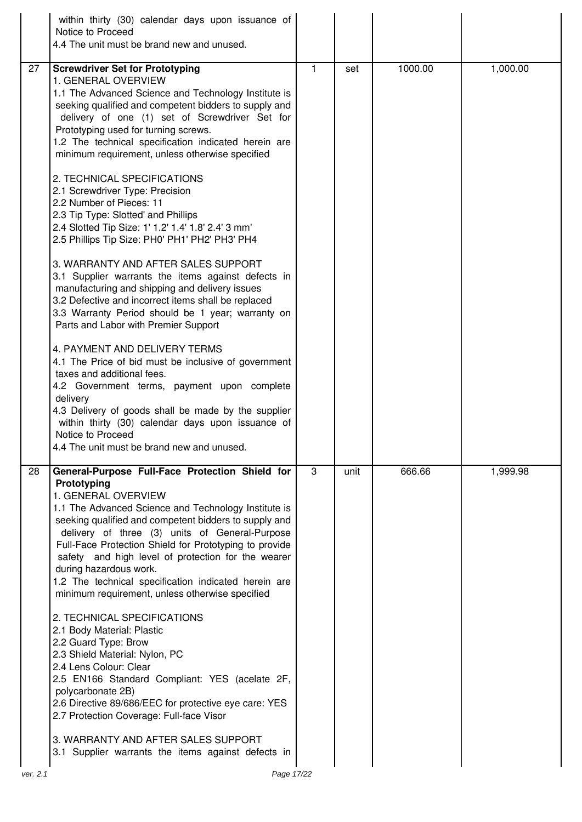|    | within thirty (30) calendar days upon issuance of<br>Notice to Proceed<br>4.4 The unit must be brand new and unused.                                                                                                                                                                                                                                                                                                                                                                                                                                                                                                                                                                                                                                                                                                                                                                                                                                                                                                                                                                                                                                                                                                                                                                                 |   |      |         |          |
|----|------------------------------------------------------------------------------------------------------------------------------------------------------------------------------------------------------------------------------------------------------------------------------------------------------------------------------------------------------------------------------------------------------------------------------------------------------------------------------------------------------------------------------------------------------------------------------------------------------------------------------------------------------------------------------------------------------------------------------------------------------------------------------------------------------------------------------------------------------------------------------------------------------------------------------------------------------------------------------------------------------------------------------------------------------------------------------------------------------------------------------------------------------------------------------------------------------------------------------------------------------------------------------------------------------|---|------|---------|----------|
| 27 | <b>Screwdriver Set for Prototyping</b><br>1. GENERAL OVERVIEW<br>1.1 The Advanced Science and Technology Institute is<br>seeking qualified and competent bidders to supply and<br>delivery of one (1) set of Screwdriver Set for<br>Prototyping used for turning screws.<br>1.2 The technical specification indicated herein are<br>minimum requirement, unless otherwise specified<br>2. TECHNICAL SPECIFICATIONS<br>2.1 Screwdriver Type: Precision<br>2.2 Number of Pieces: 11<br>2.3 Tip Type: Slotted' and Phillips<br>2.4 Slotted Tip Size: 1' 1.2' 1.4' 1.8' 2.4' 3 mm'<br>2.5 Phillips Tip Size: PH0' PH1' PH2' PH3' PH4<br>3. WARRANTY AND AFTER SALES SUPPORT<br>3.1 Supplier warrants the items against defects in<br>manufacturing and shipping and delivery issues<br>3.2 Defective and incorrect items shall be replaced<br>3.3 Warranty Period should be 1 year; warranty on<br>Parts and Labor with Premier Support<br>4. PAYMENT AND DELIVERY TERMS<br>4.1 The Price of bid must be inclusive of government<br>taxes and additional fees.<br>4.2 Government terms, payment upon complete<br>delivery<br>4.3 Delivery of goods shall be made by the supplier<br>within thirty (30) calendar days upon issuance of<br>Notice to Proceed<br>4.4 The unit must be brand new and unused. | 1 | set  | 1000.00 | 1,000.00 |
| 28 | General-Purpose Full-Face Protection Shield for<br>Prototyping<br>1. GENERAL OVERVIEW<br>1.1 The Advanced Science and Technology Institute is<br>seeking qualified and competent bidders to supply and<br>delivery of three (3) units of General-Purpose<br>Full-Face Protection Shield for Prototyping to provide<br>safety and high level of protection for the wearer<br>during hazardous work.<br>1.2 The technical specification indicated herein are<br>minimum requirement, unless otherwise specified<br>2. TECHNICAL SPECIFICATIONS<br>2.1 Body Material: Plastic<br>2.2 Guard Type: Brow<br>2.3 Shield Material: Nylon, PC<br>2.4 Lens Colour: Clear<br>2.5 EN166 Standard Compliant: YES (acelate 2F,<br>polycarbonate 2B)<br>2.6 Directive 89/686/EEC for protective eye care: YES<br>2.7 Protection Coverage: Full-face Visor<br>3. WARRANTY AND AFTER SALES SUPPORT<br>3.1 Supplier warrants the items against defects in                                                                                                                                                                                                                                                                                                                                                              | 3 | unit | 666.66  | 1,999.98 |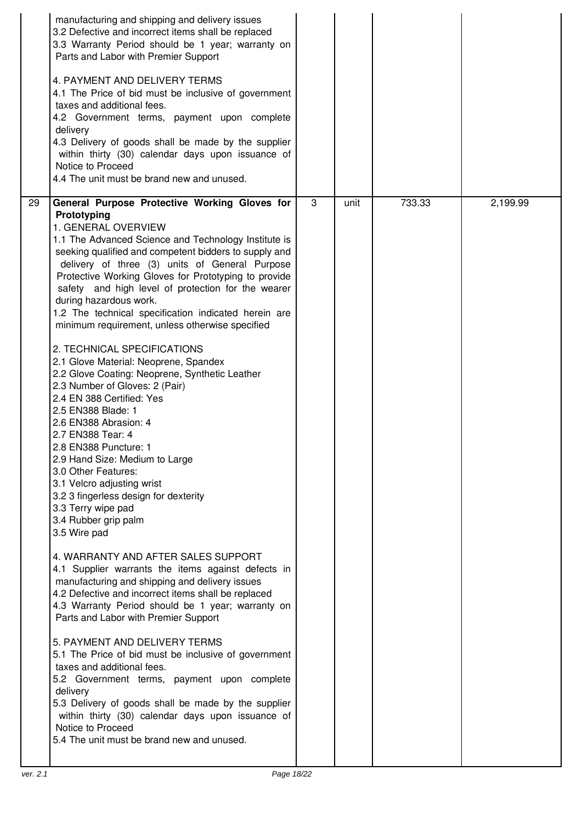| manufacturing and shipping and delivery issues<br>3.2 Defective and incorrect items shall be replaced<br>3.3 Warranty Period should be 1 year; warranty on<br>Parts and Labor with Premier Support<br>4. PAYMENT AND DELIVERY TERMS<br>4.1 The Price of bid must be inclusive of government<br>taxes and additional fees.<br>4.2 Government terms, payment upon complete<br>delivery<br>4.3 Delivery of goods shall be made by the supplier<br>within thirty (30) calendar days upon issuance of<br>Notice to Proceed<br>4.4 The unit must be brand new and unused.                                                                                                                                                                                                                                                                                                                                                                                                                                                                                                                                                                                                                                                                                                                                                                                                                                                                                                                                                                                                                                                                                                     |                |      |        |          |
|-------------------------------------------------------------------------------------------------------------------------------------------------------------------------------------------------------------------------------------------------------------------------------------------------------------------------------------------------------------------------------------------------------------------------------------------------------------------------------------------------------------------------------------------------------------------------------------------------------------------------------------------------------------------------------------------------------------------------------------------------------------------------------------------------------------------------------------------------------------------------------------------------------------------------------------------------------------------------------------------------------------------------------------------------------------------------------------------------------------------------------------------------------------------------------------------------------------------------------------------------------------------------------------------------------------------------------------------------------------------------------------------------------------------------------------------------------------------------------------------------------------------------------------------------------------------------------------------------------------------------------------------------------------------------|----------------|------|--------|----------|
| 29<br>General Purpose Protective Working Gloves for<br>Prototyping<br>1. GENERAL OVERVIEW<br>1.1 The Advanced Science and Technology Institute is<br>seeking qualified and competent bidders to supply and<br>delivery of three (3) units of General Purpose<br>Protective Working Gloves for Prototyping to provide<br>safety and high level of protection for the wearer<br>during hazardous work.<br>1.2 The technical specification indicated herein are<br>minimum requirement, unless otherwise specified<br>2. TECHNICAL SPECIFICATIONS<br>2.1 Glove Material: Neoprene, Spandex<br>2.2 Glove Coating: Neoprene, Synthetic Leather<br>2.3 Number of Gloves: 2 (Pair)<br>2.4 EN 388 Certified: Yes<br>2.5 EN388 Blade: 1<br>2.6 EN388 Abrasion: 4<br>2.7 EN388 Tear: 4<br>2.8 EN388 Puncture: 1<br>2.9 Hand Size: Medium to Large<br>3.0 Other Features:<br>3.1 Velcro adjusting wrist<br>3.2 3 fingerless design for dexterity<br>3.3 Terry wipe pad<br>3.4 Rubber grip palm<br>3.5 Wire pad<br>4. WARRANTY AND AFTER SALES SUPPORT<br>4.1 Supplier warrants the items against defects in<br>manufacturing and shipping and delivery issues<br>4.2 Defective and incorrect items shall be replaced<br>4.3 Warranty Period should be 1 year; warranty on<br>Parts and Labor with Premier Support<br>5. PAYMENT AND DELIVERY TERMS<br>5.1 The Price of bid must be inclusive of government<br>taxes and additional fees.<br>5.2 Government terms, payment upon complete<br>delivery<br>5.3 Delivery of goods shall be made by the supplier<br>within thirty (30) calendar days upon issuance of<br>Notice to Proceed<br>5.4 The unit must be brand new and unused. | $\overline{3}$ | unit | 733.33 | 2,199.99 |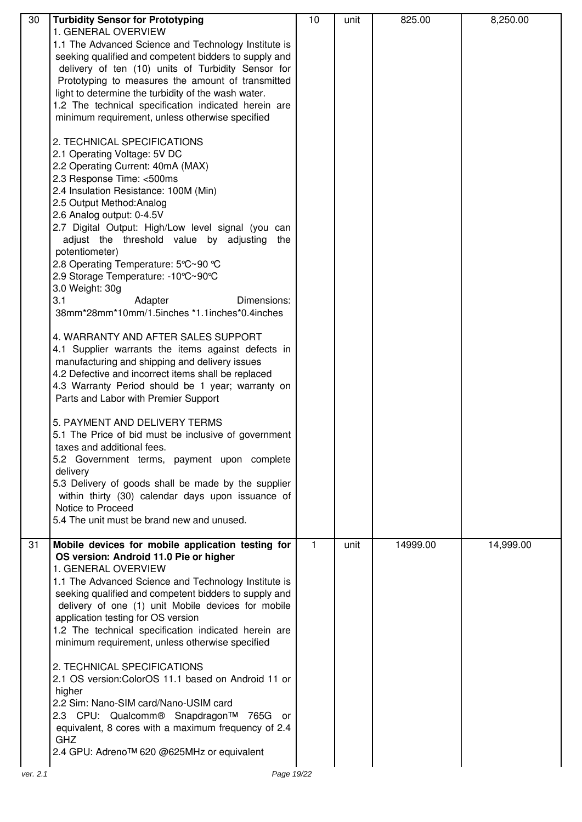| 30 | <b>Turbidity Sensor for Prototyping</b>                  | 10 | unit | 825.00   | 8,250.00  |
|----|----------------------------------------------------------|----|------|----------|-----------|
|    | 1. GENERAL OVERVIEW                                      |    |      |          |           |
|    | 1.1 The Advanced Science and Technology Institute is     |    |      |          |           |
|    | seeking qualified and competent bidders to supply and    |    |      |          |           |
|    | delivery of ten (10) units of Turbidity Sensor for       |    |      |          |           |
|    | Prototyping to measures the amount of transmitted        |    |      |          |           |
|    | light to determine the turbidity of the wash water.      |    |      |          |           |
|    | 1.2 The technical specification indicated herein are     |    |      |          |           |
|    | minimum requirement, unless otherwise specified          |    |      |          |           |
|    |                                                          |    |      |          |           |
|    | 2. TECHNICAL SPECIFICATIONS                              |    |      |          |           |
|    | 2.1 Operating Voltage: 5V DC                             |    |      |          |           |
|    | 2.2 Operating Current: 40mA (MAX)                        |    |      |          |           |
|    | 2.3 Response Time: <500ms                                |    |      |          |           |
|    | 2.4 Insulation Resistance: 100M (Min)                    |    |      |          |           |
|    | 2.5 Output Method: Analog                                |    |      |          |           |
|    | 2.6 Analog output: 0-4.5V                                |    |      |          |           |
|    | 2.7 Digital Output: High/Low level signal (you can       |    |      |          |           |
|    | adjust the threshold value by adjusting the              |    |      |          |           |
|    | potentiometer)                                           |    |      |          |           |
|    | 2.8 Operating Temperature: 5°C~90 °C                     |    |      |          |           |
|    | 2.9 Storage Temperature: -10°C~90°C                      |    |      |          |           |
|    |                                                          |    |      |          |           |
|    | 3.0 Weight: 30g<br>3.1<br>Dimensions:                    |    |      |          |           |
|    | Adapter<br>38mm*28mm*10mm/1.5inches *1.1inches*0.4inches |    |      |          |           |
|    |                                                          |    |      |          |           |
|    | 4. WARRANTY AND AFTER SALES SUPPORT                      |    |      |          |           |
|    |                                                          |    |      |          |           |
|    | 4.1 Supplier warrants the items against defects in       |    |      |          |           |
|    | manufacturing and shipping and delivery issues           |    |      |          |           |
|    | 4.2 Defective and incorrect items shall be replaced      |    |      |          |           |
|    | 4.3 Warranty Period should be 1 year; warranty on        |    |      |          |           |
|    | Parts and Labor with Premier Support                     |    |      |          |           |
|    |                                                          |    |      |          |           |
|    | 5. PAYMENT AND DELIVERY TERMS                            |    |      |          |           |
|    | 5.1 The Price of bid must be inclusive of government     |    |      |          |           |
|    | taxes and additional fees.                               |    |      |          |           |
|    | 5.2 Government terms, payment upon complete              |    |      |          |           |
|    | delivery                                                 |    |      |          |           |
|    | 5.3 Delivery of goods shall be made by the supplier      |    |      |          |           |
|    | within thirty (30) calendar days upon issuance of        |    |      |          |           |
|    | Notice to Proceed                                        |    |      |          |           |
|    | 5.4 The unit must be brand new and unused.               |    |      |          |           |
|    |                                                          |    |      |          |           |
| 31 | Mobile devices for mobile application testing for        | 1  | unit | 14999.00 | 14,999.00 |
|    | OS version: Android 11.0 Pie or higher                   |    |      |          |           |
|    | 1. GENERAL OVERVIEW                                      |    |      |          |           |
|    | 1.1 The Advanced Science and Technology Institute is     |    |      |          |           |
|    | seeking qualified and competent bidders to supply and    |    |      |          |           |
|    | delivery of one (1) unit Mobile devices for mobile       |    |      |          |           |
|    | application testing for OS version                       |    |      |          |           |
|    | 1.2 The technical specification indicated herein are     |    |      |          |           |
|    | minimum requirement, unless otherwise specified          |    |      |          |           |
|    |                                                          |    |      |          |           |
|    | 2. TECHNICAL SPECIFICATIONS                              |    |      |          |           |
|    | 2.1 OS version: Color OS 11.1 based on Android 11 or     |    |      |          |           |
|    | higher                                                   |    |      |          |           |
|    | 2.2 Sim: Nano-SIM card/Nano-USIM card                    |    |      |          |           |
|    | 2.3 CPU: Qualcomm® Snapdragon™ 765G or                   |    |      |          |           |
|    | equivalent, 8 cores with a maximum frequency of 2.4      |    |      |          |           |
|    | <b>GHZ</b>                                               |    |      |          |           |
|    | 2.4 GPU: Adreno™ 620 @625MHz or equivalent               |    |      |          |           |
|    |                                                          |    |      |          |           |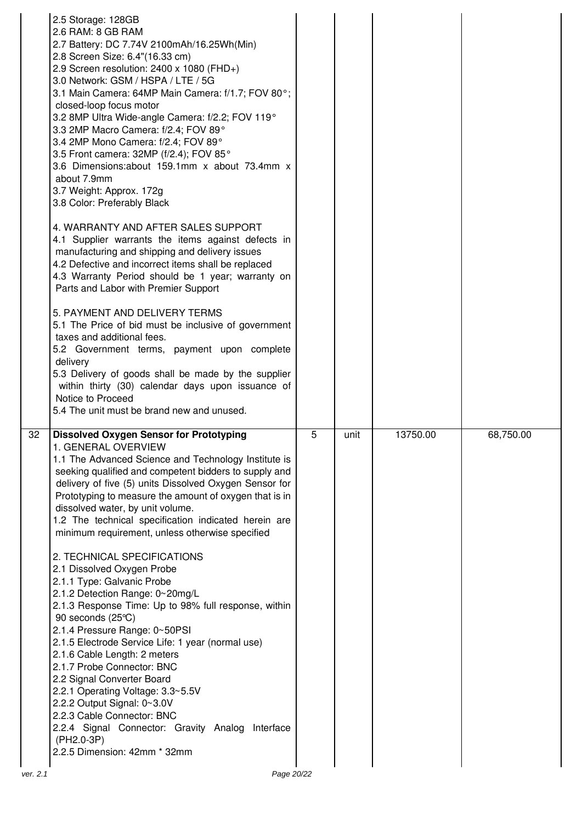|    | 2.5 Storage: 128GB<br>2.6 RAM: 8 GB RAM<br>2.7 Battery: DC 7.74V 2100mAh/16.25Wh(Min)<br>2.8 Screen Size: 6.4"(16.33 cm)<br>2.9 Screen resolution: 2400 x 1080 (FHD+)<br>3.0 Network: GSM / HSPA / LTE / 5G<br>3.1 Main Camera: 64MP Main Camera: f/1.7; FOV 80°;<br>closed-loop focus motor<br>3.2 8MP Ultra Wide-angle Camera: f/2.2; FOV 119°<br>3.3 2MP Macro Camera: f/2.4; FOV 89°<br>3.4 2MP Mono Camera: f/2.4; FOV 89°<br>3.5 Front camera: 32MP (f/2.4); FOV 85°<br>3.6 Dimensions: about 159.1mm x about 73.4mm x<br>about 7.9mm<br>3.7 Weight: Approx. 172g<br>3.8 Color: Preferably Black |   |      |          |           |
|----|--------------------------------------------------------------------------------------------------------------------------------------------------------------------------------------------------------------------------------------------------------------------------------------------------------------------------------------------------------------------------------------------------------------------------------------------------------------------------------------------------------------------------------------------------------------------------------------------------------|---|------|----------|-----------|
|    | 4. WARRANTY AND AFTER SALES SUPPORT<br>4.1 Supplier warrants the items against defects in<br>manufacturing and shipping and delivery issues<br>4.2 Defective and incorrect items shall be replaced<br>4.3 Warranty Period should be 1 year; warranty on<br>Parts and Labor with Premier Support                                                                                                                                                                                                                                                                                                        |   |      |          |           |
|    | 5. PAYMENT AND DELIVERY TERMS<br>5.1 The Price of bid must be inclusive of government<br>taxes and additional fees.<br>5.2 Government terms, payment upon complete<br>delivery<br>5.3 Delivery of goods shall be made by the supplier<br>within thirty (30) calendar days upon issuance of<br>Notice to Proceed<br>5.4 The unit must be brand new and unused.                                                                                                                                                                                                                                          |   |      |          |           |
|    |                                                                                                                                                                                                                                                                                                                                                                                                                                                                                                                                                                                                        |   |      |          |           |
| 32 | <b>Dissolved Oxygen Sensor for Prototyping</b><br>1. GENERAL OVERVIEW<br>1.1 The Advanced Science and Technology Institute is<br>seeking qualified and competent bidders to supply and<br>delivery of five (5) units Dissolved Oxygen Sensor for<br>Prototyping to measure the amount of oxygen that is in<br>dissolved water, by unit volume.<br>1.2 The technical specification indicated herein are<br>minimum requirement, unless otherwise specified                                                                                                                                              | 5 | unit | 13750.00 | 68,750.00 |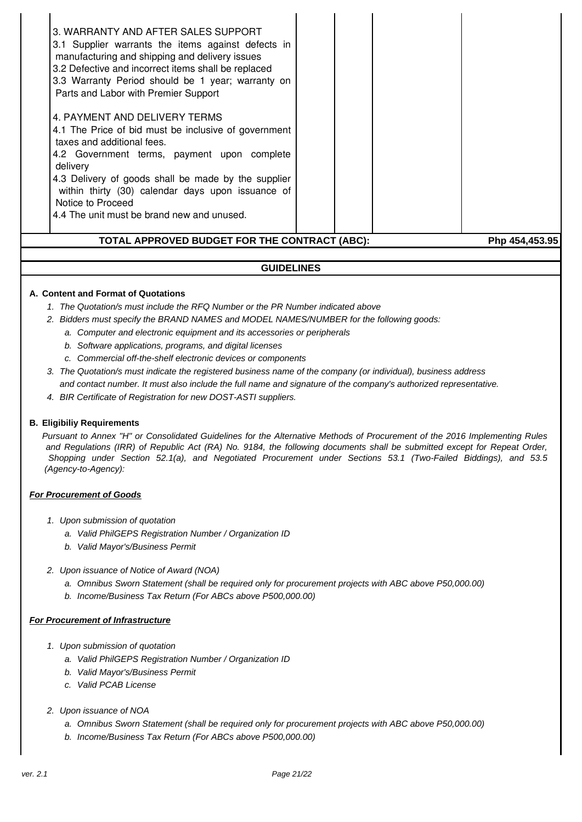### **GUIDELINES**

#### **A. Content and Format of Quotations**

- 1. The Quotation/s must include the RFQ Number or the PR Number indicated above
- 2. Bidders must specify the BRAND NAMES and MODEL NAMES/NUMBER for the following goods:
	- a. Computer and electronic equipment and its accessories or peripherals
	- b. Software applications, programs, and digital licenses
	- c. Commercial off-the-shelf electronic devices or components
- 3. The Quotation/s must indicate the registered business name of the company (or individual), business address and contact number. It must also include the full name and signature of the company's authorized representative.
- 4. BIR Certificate of Registration for new DOST-ASTI suppliers.

#### **B. Eligibiliy Requirements**

Pursuant to Annex "H" or Consolidated Guidelines for the Alternative Methods of Procurement of the 2016 Implementing Rules and Regulations (IRR) of Republic Act (RA) No. 9184, the following documents shall be submitted except for Repeat Order, Shopping under Section 52.1(a), and Negotiated Procurement under Sections 53.1 (Two-Failed Biddings), and 53.5 (Agency-to-Agency):

#### **For Procurement of Goods**

- 1. Upon submission of quotation
	- a. Valid PhilGEPS Registration Number / Organization ID
	- b. Valid Mayor's/Business Permit
- 2. Upon issuance of Notice of Award (NOA)
	- a. Omnibus Sworn Statement (shall be required only for procurement projects with ABC above P50,000.00)
	- b. Income/Business Tax Return (For ABCs above P500,000.00)

#### **For Procurement of Infrastructure**

- 1. Upon submission of quotation
	- a. Valid PhilGEPS Registration Number / Organization ID
	- b. Valid Mayor's/Business Permit
	- c. Valid PCAB License
- 2. Upon issuance of NOA
	- a. Omnibus Sworn Statement (shall be required only for procurement projects with ABC above P50,000.00)
	- b. Income/Business Tax Return (For ABCs above P500,000.00)